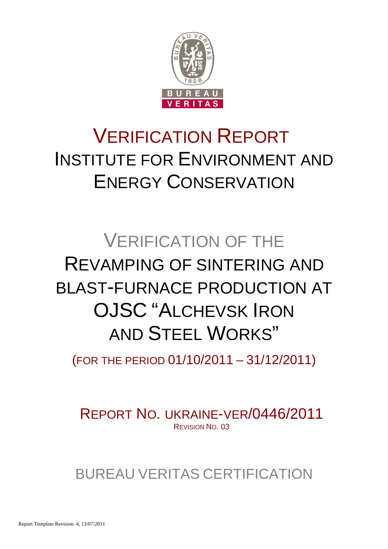

# VERIFICATION REPORT INSTITUTE FOR ENVIRONMENT AND ENERGY CONSERVATION

# VERIFICATION OF THE REVAMPING OF SINTERING AND BLAST-FURNACE PRODUCTION AT OJSC "ALCHEVSK IRON AND STEEL WORKS"

(FOR THE PERIOD 01/10/2011 – 31/12/2011)

REPORT NO. UKRAINE-VER/0446/2011 REVISION NO. 03

BUREAU VERITAS CERTIFICATION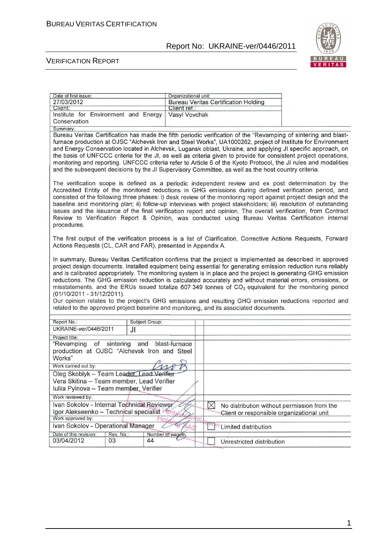

#### VERIFICATION REPORT

| Date of first issue:                                         |                     | Organizational unit:   |             |                                                                                                     |                                                                                                                                                                                                                                                                                                                                                                                                                                                                                                                                                                                                                                                                                 |
|--------------------------------------------------------------|---------------------|------------------------|-------------|-----------------------------------------------------------------------------------------------------|---------------------------------------------------------------------------------------------------------------------------------------------------------------------------------------------------------------------------------------------------------------------------------------------------------------------------------------------------------------------------------------------------------------------------------------------------------------------------------------------------------------------------------------------------------------------------------------------------------------------------------------------------------------------------------|
| 27/03/2012                                                   |                     |                        |             | <b>Bureau Veritas Certification Holding</b>                                                         |                                                                                                                                                                                                                                                                                                                                                                                                                                                                                                                                                                                                                                                                                 |
| Client:                                                      |                     | Client ret.:           |             |                                                                                                     |                                                                                                                                                                                                                                                                                                                                                                                                                                                                                                                                                                                                                                                                                 |
| Institute for Environment and Energy                         |                     | Vasyl Vovchak          |             |                                                                                                     |                                                                                                                                                                                                                                                                                                                                                                                                                                                                                                                                                                                                                                                                                 |
| Conservation                                                 |                     |                        |             |                                                                                                     |                                                                                                                                                                                                                                                                                                                                                                                                                                                                                                                                                                                                                                                                                 |
| Summary:                                                     |                     |                        |             |                                                                                                     |                                                                                                                                                                                                                                                                                                                                                                                                                                                                                                                                                                                                                                                                                 |
|                                                              |                     |                        |             |                                                                                                     | Bureau Veritas Certification has made the fifth periodic verification of the "Revamping of sintering and blast-                                                                                                                                                                                                                                                                                                                                                                                                                                                                                                                                                                 |
|                                                              |                     |                        |             |                                                                                                     | furnace production at OJSC "Alchevsk Iron and Steel Works", UA1000262, project of Institute for Environment                                                                                                                                                                                                                                                                                                                                                                                                                                                                                                                                                                     |
|                                                              |                     |                        |             |                                                                                                     | and Energy Conservation located in Alchevsk, Lugansk oblast, Ukraine, and applying JI specific approach, on                                                                                                                                                                                                                                                                                                                                                                                                                                                                                                                                                                     |
|                                                              |                     |                        |             |                                                                                                     | the basis of UNFCCC criteria for the JI, as well as criteria given to provide for consistent project operations,                                                                                                                                                                                                                                                                                                                                                                                                                                                                                                                                                                |
|                                                              |                     |                        |             |                                                                                                     | monitoring and reporting. UNFCCC criteria refer to Article 6 of the Kyoto Protocol, the JI rules and modalities                                                                                                                                                                                                                                                                                                                                                                                                                                                                                                                                                                 |
|                                                              |                     |                        |             | and the subsequent decisions by the JI Supervisory Committee, as well as the host country criteria. |                                                                                                                                                                                                                                                                                                                                                                                                                                                                                                                                                                                                                                                                                 |
|                                                              |                     |                        |             |                                                                                                     |                                                                                                                                                                                                                                                                                                                                                                                                                                                                                                                                                                                                                                                                                 |
| procedures.                                                  |                     |                        |             |                                                                                                     | The verification scope is defined as a periodic independent review and ex post determination by the<br>Accredited Entity of the monitored reductions in GHG emissions during defined verification period, and<br>consisted of the following three phases: i) desk review of the monitoring report against project design and the<br>baseline and monitoring plan; ii) follow-up interviews with project stakeholders; iii) resolution of outstanding<br>issues and the issuance of the final verification report and opinion. The overall verification, from Contract<br>Review to Verification Report & Opinion, was conducted using Bureau Veritas Certification internal     |
| Actions Requests (CL, CAR and FAR), presented in Appendix A. |                     |                        |             |                                                                                                     | The first output of the verification process is a list of Clarification, Corrective Actions Requests, Forward                                                                                                                                                                                                                                                                                                                                                                                                                                                                                                                                                                   |
| (01/10/2011 - 31/12/2011).                                   |                     |                        |             | related to the approved project baseline and monitoring, and its associated documents.              | In summary, Bureau Veritas Certification confirms that the project is implemented as described in approved<br>project design documents. Installed equipment being essential for generating emission reduction runs reliably<br>and is calibrated appropriately. The monitoring system is in place and the project is generating GHG emission<br>reductions. The GHG emission reduction is calculated accurately and without material errors, omissions, or<br>misstatements, and the ERUs issued totalize 607 349 tonnes of $CO2$ equivalent for the monitoring period<br>Our opinion relates to the project's GHG emissions and resulting GHG emission reductions reported and |
| Report No.:                                                  |                     | Subject Group:         |             |                                                                                                     |                                                                                                                                                                                                                                                                                                                                                                                                                                                                                                                                                                                                                                                                                 |
| UKRAINE-ver/0446/2011                                        | JI                  |                        |             |                                                                                                     |                                                                                                                                                                                                                                                                                                                                                                                                                                                                                                                                                                                                                                                                                 |
| Project title:                                               |                     |                        |             |                                                                                                     |                                                                                                                                                                                                                                                                                                                                                                                                                                                                                                                                                                                                                                                                                 |
| "Revamping                                                   | of sintering<br>and | blast-furnace          |             |                                                                                                     |                                                                                                                                                                                                                                                                                                                                                                                                                                                                                                                                                                                                                                                                                 |
| production at OJSC "Alchevsk Iron and Steel                  |                     |                        |             |                                                                                                     |                                                                                                                                                                                                                                                                                                                                                                                                                                                                                                                                                                                                                                                                                 |
| Works"                                                       |                     |                        |             |                                                                                                     |                                                                                                                                                                                                                                                                                                                                                                                                                                                                                                                                                                                                                                                                                 |
| Work carried out by:                                         |                     |                        |             |                                                                                                     |                                                                                                                                                                                                                                                                                                                                                                                                                                                                                                                                                                                                                                                                                 |
| Oleg Skoblyk - Team Leader, Lead Verifier                    |                     |                        |             |                                                                                                     |                                                                                                                                                                                                                                                                                                                                                                                                                                                                                                                                                                                                                                                                                 |
| Vera Skitina - Team member, Lead Verifier                    |                     |                        |             |                                                                                                     |                                                                                                                                                                                                                                                                                                                                                                                                                                                                                                                                                                                                                                                                                 |
| Iuliia Pylnova - Team member, Verifier                       |                     |                        |             |                                                                                                     |                                                                                                                                                                                                                                                                                                                                                                                                                                                                                                                                                                                                                                                                                 |
| Work reviewed by:                                            |                     |                        |             |                                                                                                     |                                                                                                                                                                                                                                                                                                                                                                                                                                                                                                                                                                                                                                                                                 |
|                                                              |                     |                        |             |                                                                                                     |                                                                                                                                                                                                                                                                                                                                                                                                                                                                                                                                                                                                                                                                                 |
| Ivan Sokolov - Internal Technical Reviewer                   |                     |                        | $\boxtimes$ | No distribution without permission from the                                                         |                                                                                                                                                                                                                                                                                                                                                                                                                                                                                                                                                                                                                                                                                 |
| Igor Alekseenko - Technical specialist<br>Work approved by:  |                     |                        |             | Client or responsible organizational unit                                                           |                                                                                                                                                                                                                                                                                                                                                                                                                                                                                                                                                                                                                                                                                 |
| Ivan Sokolov - Operational Manager                           |                     |                        |             |                                                                                                     |                                                                                                                                                                                                                                                                                                                                                                                                                                                                                                                                                                                                                                                                                 |
|                                                              |                     |                        |             | <sup>44</sup> <sup>(1</sup> / <sub>1</sub> Limited distribution                                     |                                                                                                                                                                                                                                                                                                                                                                                                                                                                                                                                                                                                                                                                                 |
| Date of this revision:<br>03/04/2012                         | Rev. No.:           | Number of pages;<br>44 |             |                                                                                                     |                                                                                                                                                                                                                                                                                                                                                                                                                                                                                                                                                                                                                                                                                 |
|                                                              | 03                  |                        |             | Unrestricted distribution                                                                           |                                                                                                                                                                                                                                                                                                                                                                                                                                                                                                                                                                                                                                                                                 |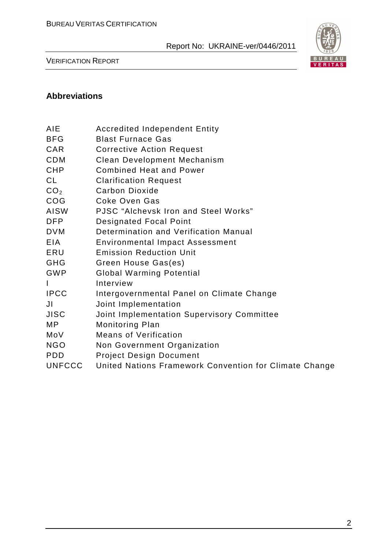

VERIFICATION REPORT

#### **Abbreviations**

- BFG Blast Furnace Gas
- CAR Corrective Action Request
- CDM Clean Development Mechanism
- CHP Combined Heat and Power
- CL Clarification Request
- CO<sub>2</sub> Carbon Dioxide
- COG Coke Oven Gas
- AISW PJSC "Alchevsk Iron and Steel Works"
- DFP Designated Focal Point
- DVM Determination and Verification Manual
- EIA Environmental Impact Assessment
- ERU Emission Reduction Unit
- GHG Green House Gas(es)
- GWP Global Warming Potential
- I Interview
- IPCC Intergovernmental Panel on Climate Change
- JI Joint Implementation
- JISC Joint Implementation Supervisory Committee
- MP Monitoring Plan
- MoV Means of Verification
- NGO Non Government Organization
- PDD Project Design Document
- UNFCCC United Nations Framework Convention for Climate Change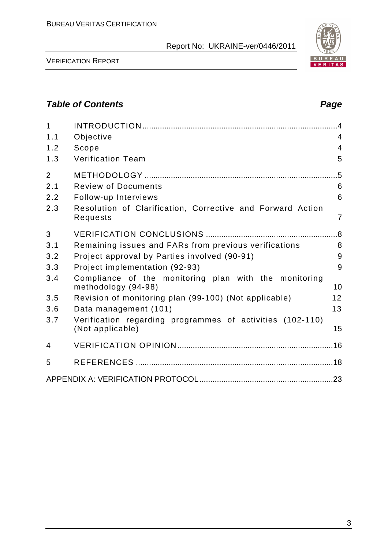

VERIFICATION REPORT

# **Table of Contents Page 2018**

| $\mathbf{1}$<br>1.1<br>1.2<br>1.3   | Objective<br>Scope<br><b>Verification Team</b>                                                                               | $\overline{4}$<br>4<br>$\overline{4}$<br>5 |
|-------------------------------------|------------------------------------------------------------------------------------------------------------------------------|--------------------------------------------|
| $\overline{2}$<br>2.1<br>2.2<br>2.3 | <b>Review of Documents</b><br>Follow-up Interviews<br>Resolution of Clarification, Corrective and Forward Action<br>Requests | $.5\,$<br>6<br>6<br>$\overline{7}$         |
| 3                                   |                                                                                                                              |                                            |
| 3.1                                 | Remaining issues and FARs from previous verifications                                                                        | 8                                          |
| 3.2                                 | Project approval by Parties involved (90-91)                                                                                 | 9                                          |
| 3.3                                 | Project implementation (92-93)                                                                                               | 9                                          |
| 3.4                                 | Compliance of the monitoring plan with the monitoring<br>methodology (94-98)                                                 | 10                                         |
| 3.5                                 | Revision of monitoring plan (99-100) (Not applicable)                                                                        | 12                                         |
| 3.6                                 | Data management (101)                                                                                                        | 13                                         |
| 3.7                                 | Verification regarding programmes of activities (102-110)<br>(Not applicable)                                                | 15                                         |
| 4                                   |                                                                                                                              |                                            |
| 5                                   |                                                                                                                              |                                            |
|                                     |                                                                                                                              |                                            |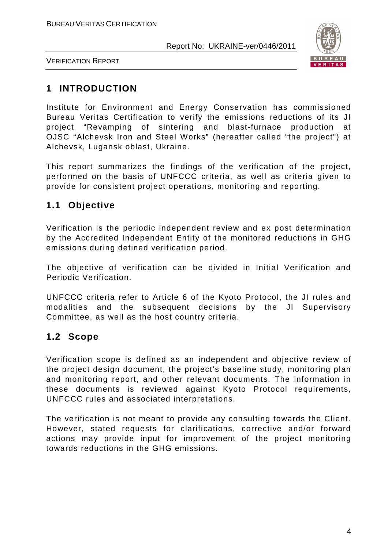

VERIFICATION REPORT

# **1 INTRODUCTION**

Institute for Environment and Energy Conservation has commissioned Bureau Veritas Certification to verify the emissions reductions of its JI project "Revamping of sintering and blast-furnace production at OJSC "Alchevsk Iron and Steel Works" (hereafter called "the project") at Alchevsk, Lugansk oblast, Ukraine.

This report summarizes the findings of the verification of the project, performed on the basis of UNFCCC criteria, as well as criteria given to provide for consistent project operations, monitoring and reporting.

# **1.1 Objective**

Verification is the periodic independent review and ex post determination by the Accredited Independent Entity of the monitored reductions in GHG emissions during defined verification period.

The objective of verification can be divided in Initial Verification and Periodic Verification.

UNFCCC criteria refer to Article 6 of the Kyoto Protocol, the JI rules and modalities and the subsequent decisions by the JI Supervisory Committee, as well as the host country criteria.

# **1.2 Scope**

Verification scope is defined as an independent and objective review of the project design document, the project's baseline study, monitoring plan and monitoring report, and other relevant documents. The information in these documents is reviewed against Kyoto Protocol requirements, UNFCCC rules and associated interpretations.

The verification is not meant to provide any consulting towards the Client. However, stated requests for clarifications, corrective and/or forward actions may provide input for improvement of the project monitoring towards reductions in the GHG emissions.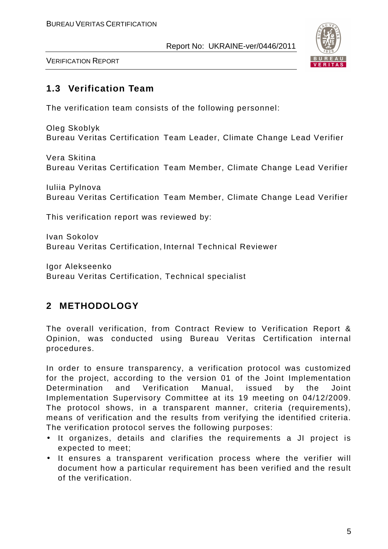

VERIFICATION REPORT

# **1.3 Verification Team**

The verification team consists of the following personnel:

Oleg Skoblyk Bureau Veritas Certification Team Leader, Climate Change Lead Verifier

Vera Skitina Bureau Veritas Certification Team Member, Climate Change Lead Verifier

Iuliia Pylnova Bureau Veritas Certification Team Member, Climate Change Lead Verifier

This verification report was reviewed by:

Ivan Sokolov Bureau Veritas Certification, Internal Technical Reviewer

Igor Alekseenko Bureau Veritas Certification, Technical specialist

# **2 METHODOLOGY**

The overall verification, from Contract Review to Verification Report & Opinion, was conducted using Bureau Veritas Certification internal procedures.

In order to ensure transparency, a verification protocol was customized for the project, according to the version 01 of the Joint Implementation Determination and Verification Manual, issued by the Joint Implementation Supervisory Committee at its 19 meeting on 04/12/2009. The protocol shows, in a transparent manner, criteria (requirements), means of verification and the results from verifying the identified criteria. The verification protocol serves the following purposes:

- It organizes, details and clarifies the requirements a JI project is expected to meet;
- It ensures a transparent verification process where the verifier will document how a particular requirement has been verified and the result of the verification.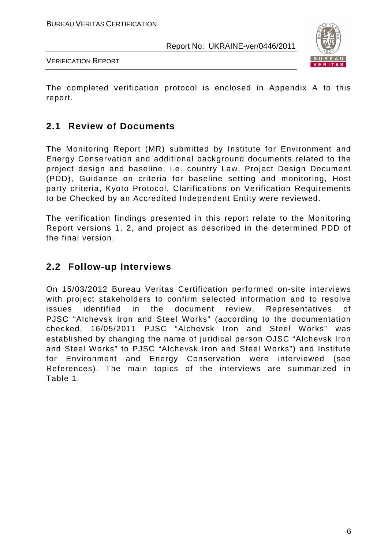

VERIFICATION REPORT

The completed verification protocol is enclosed in Appendix A to this report.

#### **2.1 Review of Documents**

The Monitoring Report (MR) submitted by Institute for Environment and Energy Conservation and additional background documents related to the project design and baseline, i.e. country Law, Project Design Document (PDD), Guidance on criteria for baseline setting and monitoring, Host party criteria, Kyoto Protocol, Clarifications on Verification Requirements to be Checked by an Accredited Independent Entity were reviewed.

The verification findings presented in this report relate to the Monitoring Report versions 1, 2, and project as described in the determined PDD of the final version.

# **2.2 Follow-up Interviews**

On 15/03/2012 Bureau Veritas Certification performed on-site interviews with project stakeholders to confirm selected information and to resolve issues identified in the document review. Representatives of PJSC "Alchevsk Iron and Steel Works" (according to the documentation checked, 16/05/2011 PJSC "Alchevsk Iron and Steel Works" was established by changing the name of juridical person OJSC "Alchevsk Iron and Steel Works" to PJSC "Alchevsk Iron and Steel Works") and Institute for Environment and Energy Conservation were interviewed (see References). The main topics of the interviews are summarized in Table 1.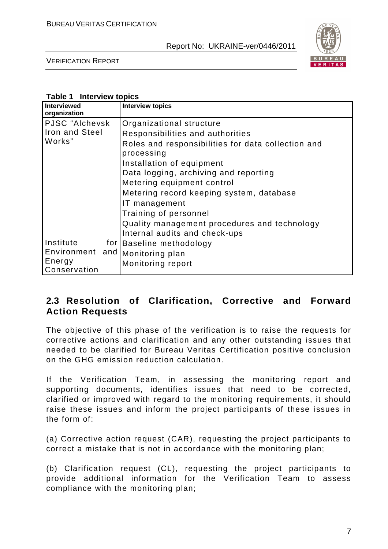

VERIFICATION REPORT

#### **Table 1 Interview topics**

| Interviewed<br>organization                        |     | <b>Interview topics</b>                                                                                                                                                                                                                                                                                                                                                                                     |
|----------------------------------------------------|-----|-------------------------------------------------------------------------------------------------------------------------------------------------------------------------------------------------------------------------------------------------------------------------------------------------------------------------------------------------------------------------------------------------------------|
| PJSC "Alchevsk<br><b>Iron and Steel</b><br>Works"  |     | Organizational structure<br>Responsibilities and authorities<br>Roles and responsibilities for data collection and<br>processing<br>Installation of equipment<br>Data logging, archiving and reporting<br>Metering equipment control<br>Metering record keeping system, database<br>IT management<br>Training of personnel<br>Quality management procedures and technology<br>Internal audits and check-ups |
| Institute<br>Environment<br>Energy<br>Conservation | and | for Baseline methodology<br>Monitoring plan<br>Monitoring report                                                                                                                                                                                                                                                                                                                                            |

# **2.3 Resolution of Clarification, Corrective and Forward Action Requests**

The objective of this phase of the verification is to raise the requests for corrective actions and clarification and any other outstanding issues that needed to be clarified for Bureau Veritas Certification positive conclusion on the GHG emission reduction calculation.

If the Verification Team, in assessing the monitoring report and supporting documents, identifies issues that need to be corrected, clarified or improved with regard to the monitoring requirements, it should raise these issues and inform the project participants of these issues in the form of:

(a) Corrective action request (CAR), requesting the project participants to correct a mistake that is not in accordance with the monitoring plan;

(b) Clarification request (CL), requesting the project participants to provide additional information for the Verification Team to assess compliance with the monitoring plan;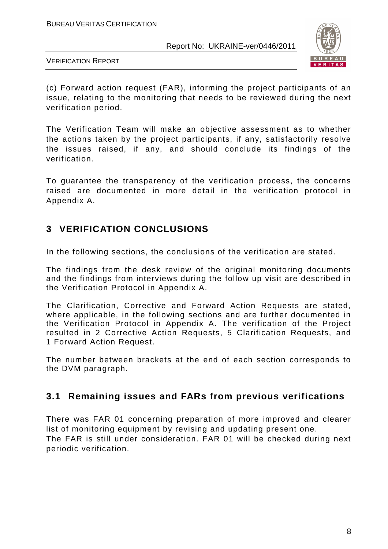

VERIFICATION REPORT

(c) Forward action request (FAR), informing the project participants of an issue, relating to the monitoring that needs to be reviewed during the next verification period.

The Verification Team will make an objective assessment as to whether the actions taken by the project participants, if any, satisfactorily resolve the issues raised, if any, and should conclude its findings of the verification.

To guarantee the transparency of the verification process, the concerns raised are documented in more detail in the verification protocol in Appendix A.

# **3 VERIFICATION CONCLUSIONS**

In the following sections, the conclusions of the verification are stated.

The findings from the desk review of the original monitoring documents and the findings from interviews during the follow up visit are described in the Verification Protocol in Appendix A.

The Clarification, Corrective and Forward Action Requests are stated, where applicable, in the following sections and are further documented in the Verification Protocol in Appendix A. The verification of the Project resulted in 2 Corrective Action Requests, 5 Clarification Requests, and 1 Forward Action Request.

The number between brackets at the end of each section corresponds to the DVM paragraph.

# **3.1 Remaining issues and FARs from previous verifications**

There was FAR 01 concerning preparation of more improved and clearer list of monitoring equipment by revising and updating present one. The FAR is still under consideration. FAR 01 will be checked during next periodic verification.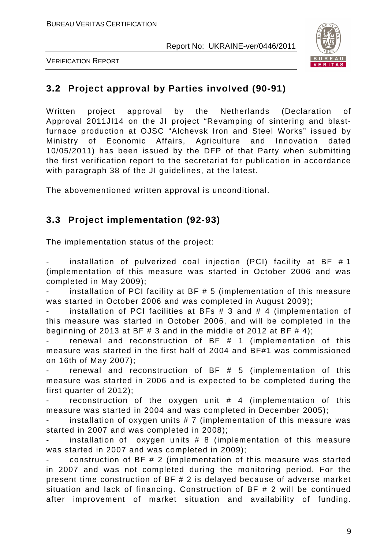



# **3.2 Project approval by Parties involved (90-91)**

Written project approval by the Netherlands (Declaration of Approval 2011JI14 on the JI project "Revamping of sintering and blastfurnace production at OJSC "Alchevsk Iron and Steel Works" issued by Ministry of Economic Affairs, Agriculture and Innovation dated 10/05/2011) has been issued by the DFP of that Party when submitting the first verification report to the secretariat for publication in accordance with paragraph 38 of the JI guidelines, at the latest.

The abovementioned written approval is unconditional.

# **3.3 Project implementation (92-93)**

The implementation status of the project:

installation of pulverized coal injection (PCI) facility at BF  $# 1$ (implementation of this measure was started in October 2006 and was completed in May 2009);

installation of PCI facility at BF  $# 5$  (implementation of this measure was started in October 2006 and was completed in August 2009);

installation of PCI facilities at BFs  $# 3$  and  $# 4$  (implementation of this measure was started in October 2006, and will be completed in the beginning of 2013 at BF  $\#$  3 and in the middle of 2012 at BF  $\#$  4);

renewal and reconstruction of  $BF$   $#$  1 (implementation of this measure was started in the first half of 2004 and BF#1 was commissioned on 16th of May 2007);

renewal and reconstruction of  $BF$   $#$  5 (implementation of this measure was started in 2006 and is expected to be completed during the first quarter of 2012);

reconstruction of the oxygen unit  $#$  4 (implementation of this measure was started in 2004 and was completed in December 2005);

installation of oxygen units  $# 7$  (implementation of this measure was started in 2007 and was completed in 2008);

installation of oxygen units  $# 8$  (implementation of this measure was started in 2007 and was completed in 2009);

construction of BF  $# 2$  (implementation of this measure was started in 2007 and was not completed during the monitoring period. For the present time construction of BF # 2 is delayed because of adverse market situation and lack of financing. Construction of BF # 2 will be continued after improvement of market situation and availability of funding.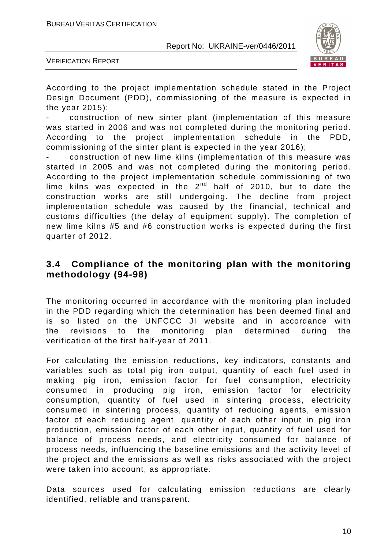

VERIFICATION REPORT

According to the project implementation schedule stated in the Project Design Document (PDD), commissioning of the measure is expected in the year 2015);

- construction of new sinter plant (implementation of this measure was started in 2006 and was not completed during the monitoring period. According to the project implementation schedule in the PDD, commissioning of the sinter plant is expected in the year 2016);

- construction of new lime kilns (implementation of this measure was started in 2005 and was not completed during the monitoring period. According to the project implementation schedule commissioning of two lime kilns was expected in the  $2^{nd}$  half of 2010, but to date the construction works are still undergoing. The decline from project implementation schedule was caused by the financial, technical and customs difficulties (the delay of equipment supply). The completion of new lime kilns #5 and #6 construction works is expected during the first quarter of 2012.

#### **3.4 Compliance of the monitoring plan with the monitoring methodology (94-98)**

The monitoring occurred in accordance with the monitoring plan included in the PDD regarding which the determination has been deemed final and is so listed on the UNFCCC JI website and in accordance with the revisions to the monitoring plan determined during the verification of the first half-year of 2011.

For calculating the emission reductions, key indicators, constants and variables such as total pig iron output, quantity of each fuel used in making pig iron, emission factor for fuel consumption, electricity consumed in producing pig iron, emission factor for electricity consumption, quantity of fuel used in sintering process, electricity consumed in sintering process, quantity of reducing agents, emission factor of each reducing agent, quantity of each other input in pig iron production, emission factor of each other input, quantity of fuel used for balance of process needs, and electricity consumed for balance of process needs, influencing the baseline emissions and the activity level of the project and the emissions as well as risks associated with the project were taken into account, as appropriate.

Data sources used for calculating emission reductions are clearly identified, reliable and transparent.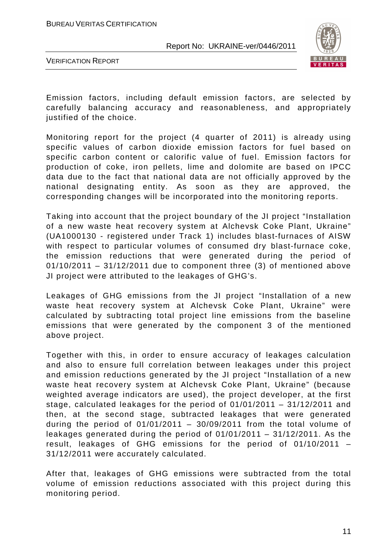

VERIFICATION REPORT

Emission factors, including default emission factors, are selected by carefully balancing accuracy and reasonableness, and appropriately justified of the choice.

Monitoring report for the project (4 quarter of 2011) is already using specific values of carbon dioxide emission factors for fuel based on specific carbon content or calorific value of fuel. Emission factors for production of coke, iron pellets, lime and dolomite are based on IPCC data due to the fact that national data are not officially approved by the national designating entity. As soon as they are approved, the corresponding changes will be incorporated into the monitoring reports.

Taking into account that the project boundary of the JI project "Installation of a new waste heat recovery system at Alchevsk Coke Plant, Ukraine" (UA1000130 - registered under Track 1) includes blast-furnaces of AISW with respect to particular volumes of consumed dry blast-furnace coke, the emission reductions that were generated during the period of  $01/10/2011 - 31/12/2011$  due to component three (3) of mentioned above JI project were attributed to the leakages of GHG's.

Leakages of GHG emissions from the JI project "Installation of a new waste heat recovery system at Alchevsk Coke Plant, Ukraine" were calculated by subtracting total project line emissions from the baseline emissions that were generated by the component 3 of the mentioned above project.

Together with this, in order to ensure accuracy of leakages calculation and also to ensure full correlation between leakages under this project and emission reductions generated by the JI project "Installation of a new waste heat recovery system at Alchevsk Coke Plant, Ukraine" (because weighted average indicators are used), the project developer, at the first stage, calculated leakages for the period of 01/01/2011 – 31/12/2011 and then, at the second stage, subtracted leakages that were generated during the period of  $01/01/2011 - 30/09/2011$  from the total volume of leakages generated during the period of 01/01/2011 – 31/12/2011. As the result, leakages of GHG emissions for the period of 01/10/2011 – 31/12/2011 were accurately calculated.

After that, leakages of GHG emissions were subtracted from the total volume of emission reductions associated with this project during this monitoring period.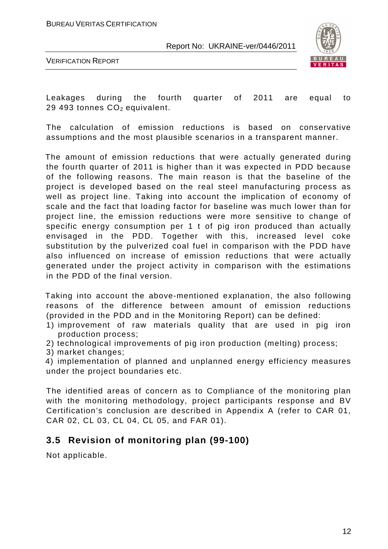



Leakages during the fourth quarter of 2011 are equal to 29 493 tonnes  $CO<sub>2</sub>$  equivalent.

The calculation of emission reductions is based on conservative assumptions and the most plausible scenarios in a transparent manner.

 The amount of emission reductions that were actually generated during the fourth quarter of 2011 is higher than it was expected in PDD because of the following reasons. The main reason is that the baseline of the project is developed based on the real steel manufacturing process as well as project line. Taking into account the implication of economy of scale and the fact that loading factor for baseline was much lower than for project line, the emission reductions were more sensitive to change of specific energy consumption per 1 t of pig iron produced than actually envisaged in the PDD. Together with this, increased level coke substitution by the pulverized coal fuel in comparison with the PDD have also influenced on increase of emission reductions that were actually generated under the project activity in comparison with the estimations in the PDD of the final version.

 Taking into account the above-mentioned explanation, the also following reasons of the difference between amount of emission reductions (provided in the PDD and in the Monitoring Report) can be defined:

- 1) improvement of raw materials quality that are used in pig iron production process;
- 2) technological improvements of pig iron production (melting) process;
- 3) market changes;
- 4) implementation of planned and unplanned energy efficiency measures under the project boundaries etc.

The identified areas of concern as to Compliance of the monitoring plan with the monitoring methodology, project participants response and BV Certification's conclusion are described in Appendix A (refer to CAR 01, CAR 02, CL 03, CL 04, СL 05, and FAR 01).

#### **3.5 Revision of monitoring plan (99-100)**

Not applicable.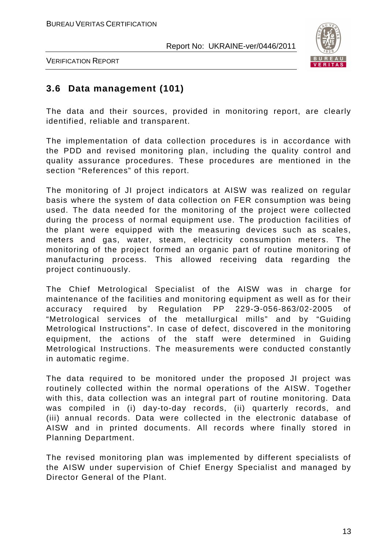

VERIFICATION REPORT

# **3.6 Data management (101)**

The data and their sources, provided in monitoring report, are clearly identified, reliable and transparent.

The implementation of data collection procedures is in accordance with the PDD and revised monitoring plan, including the quality control and quality assurance procedures. These procedures are mentioned in the section "References" of this report.

The monitoring of JI project indicators at AISW was realized on regular basis where the system of data collection on FER consumption was being used. The data needed for the monitoring of the project were collected during the process of normal equipment use. The production facilities of the plant were equipped with the measuring devices such as scales, meters and gas, water, steam, electricity consumption meters. The monitoring of the project formed an organic part of routine monitoring of manufacturing process. This allowed receiving data regarding the project continuously.

The Chief Metrological Specialist of the AISW was in charge for maintenance of the facilities and monitoring equipment as well as for their accuracy required by Regulation PP 229-Э-056-863/02-2005 of "Metrological services of the metallurgical mills" and by "Guiding Metrological Instructions". In case of defect, discovered in the monitoring equipment, the actions of the staff were determined in Guiding Metrological Instructions. The measurements were conducted constantly in automatic regime.

The data required to be monitored under the proposed JI project was routinely collected within the normal operations of the AISW. Together with this, data collection was an integral part of routine monitoring. Data was compiled in (i) day-to-day records, (ii) quarterly records, and (iii) annual records. Data were collected in the electronic database of AISW and in printed documents. All records where finally stored in Planning Department.

The revised monitoring plan was implemented by different specialists of the AISW under supervision of Chief Energy Specialist and managed by Director General of the Plant.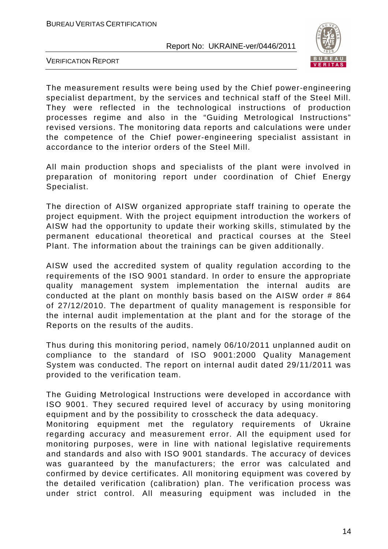

VERIFICATION REPORT

The measurement results were being used by the Chief power-engineering specialist department, by the services and technical staff of the Steel Mill. They were reflected in the technological instructions of production processes regime and also in the "Guiding Metrological Instructions" revised versions. The monitoring data reports and calculations were under the competence of the Chief power-engineering specialist assistant in accordance to the interior orders of the Steel Mill.

All main production shops and specialists of the plant were involved in preparation of monitoring report under coordination of Chief Energy Specialist.

The direction of AISW organized appropriate staff training to operate the project equipment. With the project equipment introduction the workers of AISW had the opportunity to update their working skills, stimulated by the permanent educational theoretical and practical courses at the Steel Plant. The information about the trainings can be given additionally.

AISW used the accredited system of quality regulation according to the requirements of the ISO 9001 standard. In order to ensure the appropriate quality management system implementation the internal audits are conducted at the plant on monthly basis based on the AISW order # 864 of 27/12/2010. The department of quality management is responsible for the internal audit implementation at the plant and for the storage of the Reports on the results of the audits.

Thus during this monitoring period, namely 06/10/2011 unplanned audit on compliance to the standard of ISO 9001:2000 Quality Management System was conducted. The report on internal audit dated 29/11/2011 was provided to the verification team.

The Guiding Metrological Instructions were developed in accordance with ISO 9001. They secured required level of accuracy by using monitoring equipment and by the possibility to crosscheck the data adequacy.

Monitoring equipment met the regulatory requirements of Ukraine regarding accuracy and measurement error. All the equipment used for monitoring purposes, were in line with national legislative requirements and standards and also with ISO 9001 standards. The accuracy of devices was guaranteed by the manufacturers; the error was calculated and confirmed by device certificates. All monitoring equipment was covered by the detailed verification (calibration) plan. The verification process was under strict control. All measuring equipment was included in the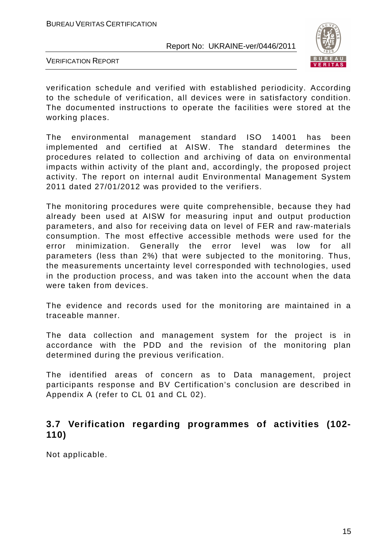

VERIFICATION REPORT

verification schedule and verified with established periodicity. According to the schedule of verification, all devices were in satisfactory condition. The documented instructions to operate the facilities were stored at the working places.

The environmental management standard ISO 14001 has been implemented and certified at AISW. The standard determines the procedures related to collection and archiving of data on environmental impacts within activity of the plant and, accordingly, the proposed project activity. The report on internal audit Environmental Management System 2011 dated 27/01/2012 was provided to the verifiers.

The monitoring procedures were quite comprehensible, because they had already been used at AISW for measuring input and output production parameters, and also for receiving data on level of FER and raw-materials consumption. The most effective accessible methods were used for the error minimization. Generally the error level was low for all parameters (less than 2%) that were subjected to the monitoring. Thus, the measurements uncertainty level corresponded with technologies, used in the production process, and was taken into the account when the data were taken from devices.

The evidence and records used for the monitoring are maintained in a traceable manner.

The data collection and management system for the project is in accordance with the PDD and the revision of the monitoring plan determined during the previous verification.

The identified areas of concern as to Data management, project participants response and BV Certification's conclusion are described in Appendix A (refer to CL 01 and CL 02).

# **3.7 Verification regarding programmes of activities (102- 110)**

Not applicable.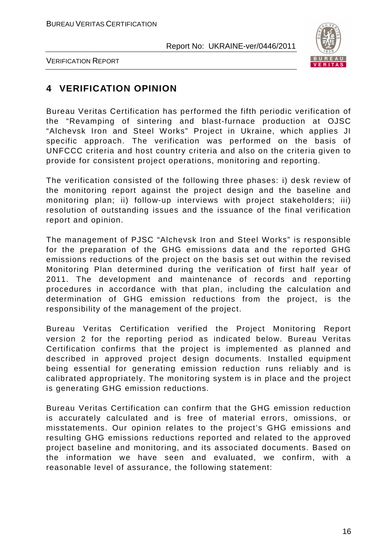

VERIFICATION REPORT

# **4 VERIFICATION OPINION**

Bureau Veritas Certification has performed the fifth periodic verification of the "Revamping of sintering and blast-furnace production at OJSC "Alchevsk Iron and Steel Works" Project in Ukraine, which applies JI specific approach. The verification was performed on the basis of UNFCCC criteria and host country criteria and also on the criteria given to provide for consistent project operations, monitoring and reporting.

The verification consisted of the following three phases: i) desk review of the monitoring report against the project design and the baseline and monitoring plan; ii) follow-up interviews with project stakeholders; iii) resolution of outstanding issues and the issuance of the final verification report and opinion.

The management of PJSC "Alchevsk Iron and Steel Works" is responsible for the preparation of the GHG emissions data and the reported GHG emissions reductions of the project on the basis set out within the revised Monitoring Plan determined during the verification of first half year of 2011. The development and maintenance of records and reporting procedures in accordance with that plan, including the calculation and determination of GHG emission reductions from the project, is the responsibility of the management of the project.

Bureau Veritas Certification verified the Project Monitoring Report version 2 for the reporting period as indicated below. Bureau Veritas Certification confirms that the project is implemented as planned and described in approved project design documents. Installed equipment being essential for generating emission reduction runs reliably and is calibrated appropriately. The monitoring system is in place and the project is generating GHG emission reductions.

Bureau Veritas Certification can confirm that the GHG emission reduction is accurately calculated and is free of material errors, omissions, or misstatements. Our opinion relates to the project's GHG emissions and resulting GHG emissions reductions reported and related to the approved project baseline and monitoring, and its associated documents. Based on the information we have seen and evaluated, we confirm, with a reasonable level of assurance, the following statement: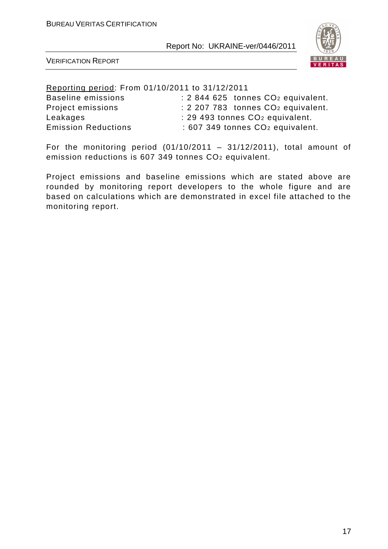

VERIFICATION REPORT

Reporting period: From 01/10/2011 to 31/12/2011

| <b>Baseline emissions</b>  | $: 2844625$ tonnes $CO2$ equivalent.         |
|----------------------------|----------------------------------------------|
| Project emissions          | $: 2207783$ tonnes $CO2$ equivalent.         |
| Leakages                   | : 29 493 tonnes CO <sub>2</sub> equivalent.  |
| <b>Emission Reductions</b> | : 607 349 tonnes CO <sub>2</sub> equivalent. |

For the monitoring period  $(01/10/2011 - 31/12/2011)$ , total amount of emission reductions is 607 349 tonnes CO2 equivalent.

Project emissions and baseline emissions which are stated above are rounded by monitoring report developers to the whole figure and are based on calculations which are demonstrated in excel file attached to the monitoring report.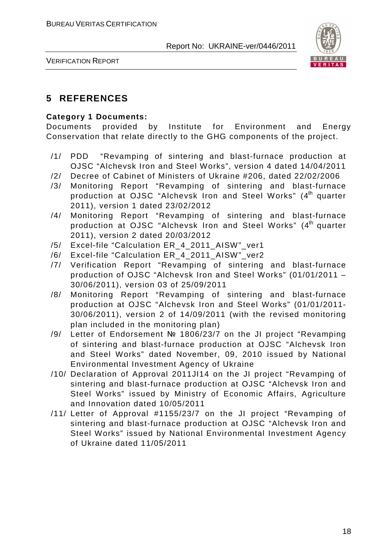

VERIFICATION REPORT

# **5 REFERENCES**

#### **Category 1 Documents:**

Documents provided by Institute for Environment and Energy Conservation that relate directly to the GHG components of the project.

- /1/ PDD "Revamping of sintering and blast-furnace production at OJSC "Alchevsk Iron and Steel Works", version 4 dated 14/04/2011
- /2/ Decree of Cabinet of Ministers of Ukraine #206, dated 22/02/2006
- /3/ Monitoring Report "Revamping of sintering and blast-furnace production at OJSC "Alchevsk Iron and Steel Works" (4<sup>th</sup> quarter 2011), version 1 dated 23/02/2012
- /4/ Monitoring Report "Revamping of sintering and blast-furnace production at OJSC "Alchevsk Iron and Steel Works" (4<sup>th</sup> quarter 2011), version 2 dated 20/03/2012
- /5/ Excel-file "Calculation ER\_4\_2011\_AISW"\_ver1
- /6/ Excel-file "Calculation ER 4 2011 AISW" ver2
- /7/ Verification Report "Revamping of sintering and blast-furnace production of OJSC "Alchevsk Iron and Steel Works" (01/01/2011 – 30/06/2011), version 03 of 25/09/2011
- /8/ Monitoring Report "Revamping of sintering and blast-furnace production at OJSC "Alchevsk Iron and Steel Works" (01/01/2011- 30/06/2011), version 2 of 14/09/2011 (with the revised monitoring plan included in the monitoring plan)
- /9/ Letter of Endorsement № 1806/23/7 on the JI project "Revamping of sintering and blast-furnace production at OJSC "Alchevsk Iron and Steel Works" dated November, 09, 2010 issued by National Environmental Investment Agency of Ukraine
- /10/ Declaration of Approval 2011JI14 on the JI project "Revamping of sintering and blast-furnace production at OJSC "Alchevsk Iron and Steel Works" issued by Ministry of Economic Affairs, Agriculture and Innovation dated 10/05/2011
- /11/ Letter of Approval #1155/23/7 on the JI project "Revamping of sintering and blast-furnace production at OJSC "Alchevsk Iron and Steel Works" issued by National Environmental Investment Agency of Ukraine dated 11/05/2011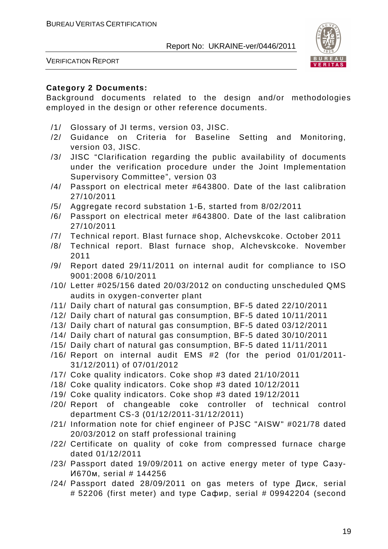

VERIFICATION REPORT

#### **Category 2 Documents:**

Background documents related to the design and/or methodologies employed in the design or other reference documents.

- /1/ Glossary of JI terms, version 03, JISC.
- /2/ Guidance on Criteria for Baseline Setting and Monitoring, version 03, JISC.
- /3/ JISC "Clarification regarding the public availability of documents under the verification procedure under the Joint Implementation Supervisory Committee", version 03
- /4/ Passport on electrical meter #643800. Date of the last calibration 27/10/2011
- /5/ Aggregate record substation 1-Б, started from 8/02/2011
- /6/ Passport on electrical meter #643800. Date of the last calibration 27/10/2011
- /7/ Technical report. Blast furnace shop, Alchevskcoke. October 2011
- /8/ Technical report. Blast furnace shop, Alchevskcoke. November 2011
- /9/ Report dated 29/11/2011 on internal audit for compliance to ISO 9001:2008 6/10/2011
- /10/ Letter #025/156 dated 20/03/2012 on conducting unscheduled QMS audits in oxygen-converter plant
- /11/ Daily chart of natural gas consumption, BF-5 dated 22/10/2011
- /12/ Daily chart of natural gas consumption, BF-5 dated 10/11/2011
- /13/ Daily chart of natural gas consumption, BF-5 dated 03/12/2011
- /14/ Daily chart of natural gas consumption, BF-5 dated 30/10/2011
- /15/ Daily chart of natural gas consumption, BF-5 dated 11/11/2011
- /16/ Report on internal audit EMS #2 (for the period 01/01/2011- 31/12/2011) of 07/01/2012
- /17/ Coke quality indicators. Coke shop #3 dated 21/10/2011
- /18/ Coke quality indicators. Coke shop #3 dated 10/12/2011
- /19/ Coke quality indicators. Coke shop #3 dated 19/12/2011
- /20/ Report of changeable coke controller of technical control department CS-3 (01/12/2011-31/12/2011)
- /21/ Information note for chief engineer of PJSC "AISW" #021/78 dated 20/03/2012 on staff professional training
- /22/ Certificate on quality of coke from compressed furnace charge dated 01/12/2011
- /23/ Passport dated 19/09/2011 on active energy meter of type Сазу-И670м, serial # 144256
- /24/ Passport dated 28/09/2011 on gas meters of type Диск, serial # 52206 (first meter) and type Сафир, serial # 09942204 (second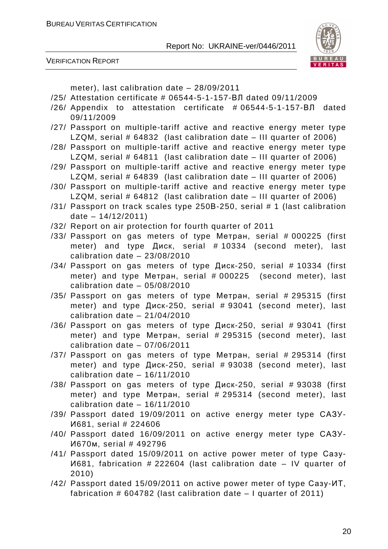

VERIFICATION REPORT

meter), last calibration date – 28/09/2011

- /25/ Attestation certificate # 06544-5-1-157-ВЛ dated 09/11/2009
- /26/ Appendix to attestation certificate # 06544-5-1-157-ВЛ dated 09/11/2009
- /27/ Passport on multiple-tariff active and reactive energy meter type LZQM, serial # 64832 (last calibration date – III quarter of 2006)
- /28/ Passport on multiple-tariff active and reactive energy meter type LZQM, serial # 64811 (last calibration date – III quarter of 2006)
- /29/ Passport on multiple-tariff active and reactive energy meter type LZQM, serial # 64839 (last calibration date – III quarter of 2006)
- /30/ Passport on multiple-tariff active and reactive energy meter type LZQM, serial # 64812 (last calibration date – III quarter of 2006)
- /31/ Passport on track scales type 250В-250, serial # 1 (last calibration date – 14/12/2011)
- /32/ Report on air protection for fourth quarter of 2011
- /33/ Passport on gas meters of type Метран, serial # 000225 (first meter) and type Диск, serial # 10334 (second meter), last calibration date – 23/08/2010
- /34/ Passport on gas meters of type Диск-250, serial # 10334 (first meter) and type Метран, serial # 000225 (second meter), last calibration date – 05/08/2010
- /35/ Passport on gas meters of type Метран, serial # 295315 (first meter) and type Диск-250, serial # 93041 (second meter), last calibration date – 21/04/2010
- /36/ Passport on gas meters of type Диск-250, serial # 93041 (first meter) and type Метран, serial # 295315 (second meter), last calibration date – 07/06/2011
- /37/ Passport on gas meters of type Метран, serial # 295314 (first meter) and type Диск-250, serial # 93038 (second meter), last calibration date – 16/11/2010
- /38/ Passport on gas meters of type Диск-250, serial # 93038 (first meter) and type Метран, serial # 295314 (second meter), last calibration date – 16/11/2010
- /39/ Passport dated 19/09/2011 on active energy meter type САЗУ-И681, serial # 224606
- /40/ Passport dated 16/09/2011 on active energy meter type САЗУ-И670м, serial # 492796
- /41/ Passport dated 15/09/2011 on active power meter of type Сазу-И681, fabrication # 222604 (last calibration date – IV quarter of 2010)
- /42/ Passport dated 15/09/2011 on active power meter of type Сазу-ИТ, fabrication  $\#$  604782 (last calibration date  $-1$  quarter of 2011)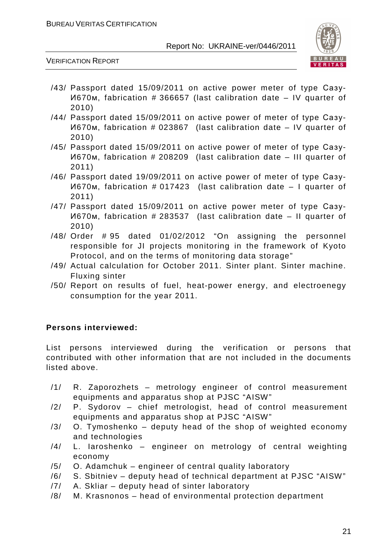

#### VERIFICATION REPORT

- /43/ Passport dated 15/09/2011 on active power meter of type Сазу-И670м, fabrication # 366657 (last calibration date – IV quarter of 2010)
- /44/ Passport dated 15/09/2011 on active power of meter of type Сазу-И670м, fabrication # 023867 (last calibration date – IV quarter of 2010)
- /45/ Passport dated 15/09/2011 on active power of meter of type Сазу-И670м, fabrication # 208209 (last calibration date – III quarter of 2011)
- /46/ Passport dated 19/09/2011 on active power of meter of type Сазу-И670м, fabrication # 017423 (last calibration date – I quarter of 2011)
- /47/ Passport dated 15/09/2011 on active power meter of type Сазу-И670м, fabrication # 283537 (last calibration date – II quarter of 2010)
- /48/ Order # 95 dated 01/02/2012 "On assigning the personnel responsible for JI projects monitoring in the framework of Kyoto Protocol, and on the terms of monitoring data storage"
- /49/ Actual calculation for October 2011. Sinter plant. Sinter machine. Fluxing sinter
- /50/ Report on results of fuel, heat-power energy, and electroenegy consumption for the year 2011.

#### **Persons interviewed:**

List persons interviewed during the verification or persons that contributed with other information that are not included in the documents listed above.

- /1/ R. Zaporozhets metrology engineer of control measurement equipments and apparatus shop at PJSC "AISW"
- /2/ P. Sydorov chief metrologist, head of control measurement equipments and apparatus shop at PJSC "AISW"
- $/3/$  O. Tymoshenko deputy head of the shop of weighted economy and technologies
- /4/ L. Iaroshenko engineer on metrology of central weighting economy
- /5/ O. Adamchuk engineer of central quality laboratory
- /6/ S. Sbitniev deputy head of technical department at PJSC "AISW"
- /7/ A. Skliar deputy head of sinter laboratory
- /8/ M. Krasnonos head of environmental protection department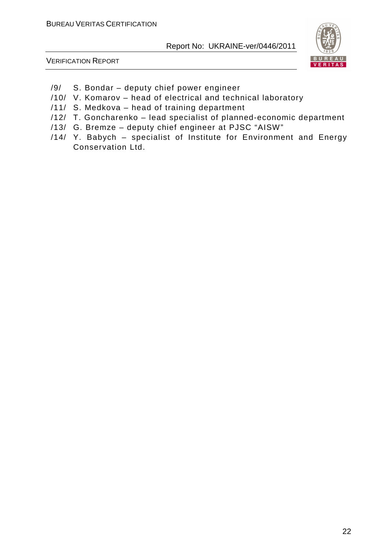

VERIFICATION REPORT

- /9/ S. Bondar deputy chief power engineer
- /10/ V. Komarov head of electrical and technical laboratory
- /11/ S. Medkova head of training department
- /12/ T. Goncharenko lead specialist of planned-economic department
- /13/ G. Bremze deputy chief engineer at PJSC "AISW"
- /14/ Y. Babych specialist of Institute for Environment and Energy Conservation Ltd.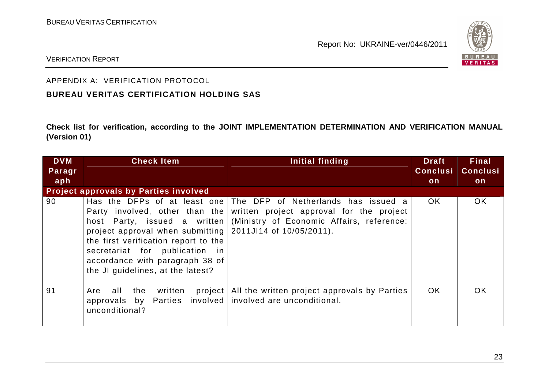

#### VERIFICATION REPORT

#### APPENDIX A: VERIFICATION PROTOCOL

#### **BUREAU VERITAS CERTIFICATION HOLDING SAS**

**Check list for verification, according to the JOINT IMPLEMENTATION DETERMINATION AND VERIFICATION MANUAL (Version 01)** 

| <b>DVM</b> | <b>Check Item</b>                                                                                                                                                                                                   | Initial finding                                                                                                                                                                                                       | <b>Draft</b>    | <b>Final</b>    |
|------------|---------------------------------------------------------------------------------------------------------------------------------------------------------------------------------------------------------------------|-----------------------------------------------------------------------------------------------------------------------------------------------------------------------------------------------------------------------|-----------------|-----------------|
| Paragr     |                                                                                                                                                                                                                     |                                                                                                                                                                                                                       | <b>Conclusi</b> | <b>Conclusi</b> |
| aph        |                                                                                                                                                                                                                     |                                                                                                                                                                                                                       | on              | on              |
|            | <b>Project approvals by Parties involved</b>                                                                                                                                                                        |                                                                                                                                                                                                                       |                 |                 |
| 90         | project approval when submitting $\vert$ 2011JI14 of 10/05/2011).<br>the first verification report to the<br>secretariat for publication in<br>accordance with paragraph 38 of<br>the JI guidelines, at the latest? | Has the DFPs of at least one The DFP of Netherlands has issued a<br>Party involved, other than the written project approval for the project<br>host Party, issued a written (Ministry of Economic Affairs, reference: | OK.             | <b>OK</b>       |
| 91         | Are<br>all<br>the<br>written<br>approvals by Parties involved involved are unconditional.<br>unconditional?                                                                                                         | project   All the written project approvals by Parties                                                                                                                                                                | <b>OK</b>       | <b>OK</b>       |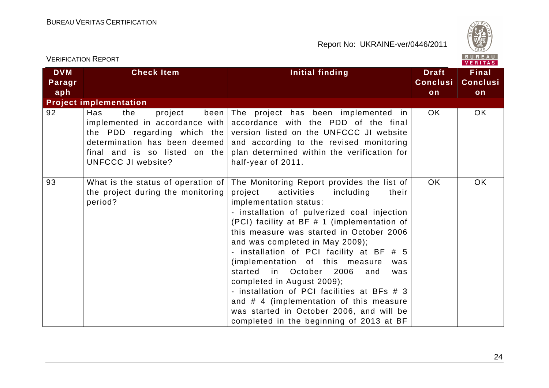

| <b>VERIFICATION REPORT</b>  |                                                                                                                                                        | BUREAU<br>VERITAS                                                                                                                                                                                                                                                                                                                                                                                                                                                                                                                                                                                                                                  |                                       |                                       |  |
|-----------------------------|--------------------------------------------------------------------------------------------------------------------------------------------------------|----------------------------------------------------------------------------------------------------------------------------------------------------------------------------------------------------------------------------------------------------------------------------------------------------------------------------------------------------------------------------------------------------------------------------------------------------------------------------------------------------------------------------------------------------------------------------------------------------------------------------------------------------|---------------------------------------|---------------------------------------|--|
| <b>DVM</b><br>Paragr<br>aph | <b>Check Item</b>                                                                                                                                      | <b>Initial finding</b>                                                                                                                                                                                                                                                                                                                                                                                                                                                                                                                                                                                                                             | <b>Draft</b><br><b>Conclusi</b><br>on | <b>Final</b><br><b>Conclusi</b><br>on |  |
|                             | <b>Project implementation</b>                                                                                                                          |                                                                                                                                                                                                                                                                                                                                                                                                                                                                                                                                                                                                                                                    |                                       |                                       |  |
| 92                          | Has<br>project<br>the<br>implemented in accordance with<br>determination has been deemed<br>final and is so listed on the<br><b>UNFCCC JI website?</b> | been The project has been implemented in<br>accordance with the PDD of the final<br>the PDD regarding which the version listed on the UNFCCC JI website<br>and according to the revised monitoring<br>plan determined within the verification for<br>half-year of 2011.                                                                                                                                                                                                                                                                                                                                                                            | OK.                                   | OK                                    |  |
| 93                          | What is the status of operation of $ $<br>the project during the monitoring<br>period?                                                                 | The Monitoring Report provides the list of<br>project<br>activities<br>including<br>their<br>implementation status:<br>- installation of pulverized coal injection<br>(PCI) facility at BF # 1 (implementation of<br>this measure was started in October 2006<br>and was completed in May 2009);<br>- installation of PCI facility at BF # 5<br>(implementation of this measure<br>was<br>in October 2006<br>started<br>and<br>was<br>completed in August 2009);<br>- installation of PCI facilities at BFs # 3<br>and # 4 (implementation of this measure<br>was started in October 2006, and will be<br>completed in the beginning of 2013 at BF | <b>OK</b>                             | OK.                                   |  |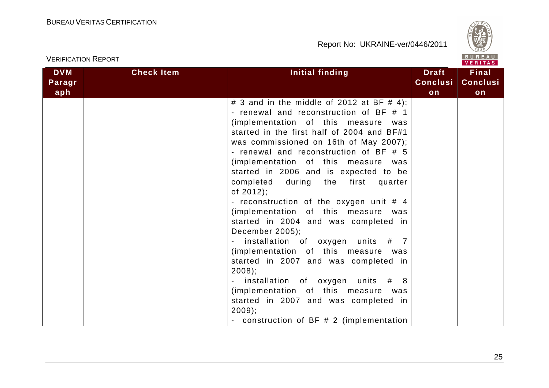

| <b>VERIFICATION REPORT</b>  |                   |                                                                                                                                                                                                                                                                                                                                                                                                                                                                                                                                                                                                                                                                                                                                                                                                                                                                          |                                       | BUREAU<br><b>VERITAS</b>              |
|-----------------------------|-------------------|--------------------------------------------------------------------------------------------------------------------------------------------------------------------------------------------------------------------------------------------------------------------------------------------------------------------------------------------------------------------------------------------------------------------------------------------------------------------------------------------------------------------------------------------------------------------------------------------------------------------------------------------------------------------------------------------------------------------------------------------------------------------------------------------------------------------------------------------------------------------------|---------------------------------------|---------------------------------------|
| <b>DVM</b><br>Paragr<br>aph | <b>Check Item</b> | Initial finding                                                                                                                                                                                                                                                                                                                                                                                                                                                                                                                                                                                                                                                                                                                                                                                                                                                          | <b>Draft</b><br><b>Conclusi</b><br>on | <b>Final</b><br><b>Conclusi</b><br>on |
|                             |                   | # 3 and in the middle of 2012 at BF # 4);<br>- renewal and reconstruction of BF # 1<br>(implementation of this measure<br>was<br>started in the first half of 2004 and BF#1<br>was commissioned on 16th of May 2007);<br>- renewal and reconstruction of BF # 5<br>(implementation of this measure was<br>started in 2006 and is expected to be<br>completed during the<br>first<br>quarter<br>of $2012$ );<br>- reconstruction of the oxygen unit # 4<br>(implementation of this measure<br>was<br>started in 2004 and was completed in<br>December 2005);<br>installation of oxygen units # 7<br>(implementation of this measure was<br>started in 2007 and was completed in<br>$2008$ ;<br>installation of oxygen units # 8<br>(implementation of this measure<br>was<br>started in 2007 and was completed in<br>$2009$ ;<br>- construction of BF # 2 (implementation |                                       |                                       |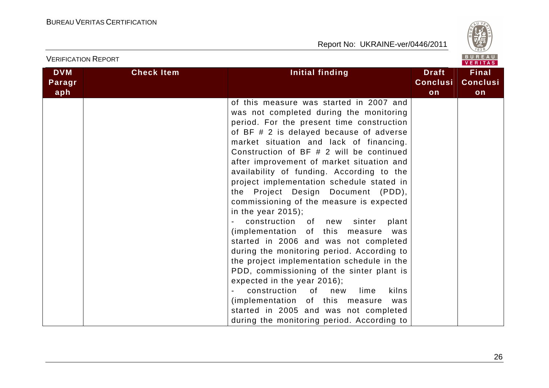

| <b>VERIFICATION REPORT</b>  |                   |                                                                                                                                                                                                                                                                                                                                                                                                                                                                                                                                                                                                                                                                                                                                                                                                                                                                                                                                                                                                   |                                       | BUREAU<br>VERITAS                     |
|-----------------------------|-------------------|---------------------------------------------------------------------------------------------------------------------------------------------------------------------------------------------------------------------------------------------------------------------------------------------------------------------------------------------------------------------------------------------------------------------------------------------------------------------------------------------------------------------------------------------------------------------------------------------------------------------------------------------------------------------------------------------------------------------------------------------------------------------------------------------------------------------------------------------------------------------------------------------------------------------------------------------------------------------------------------------------|---------------------------------------|---------------------------------------|
| <b>DVM</b><br>Paragr<br>aph | <b>Check Item</b> | Initial finding                                                                                                                                                                                                                                                                                                                                                                                                                                                                                                                                                                                                                                                                                                                                                                                                                                                                                                                                                                                   | <b>Draft</b><br><b>Conclusi</b><br>on | <b>Final</b><br><b>Conclusi</b><br>on |
|                             |                   | of this measure was started in 2007 and<br>was not completed during the monitoring<br>period. For the present time construction<br>of BF # 2 is delayed because of adverse<br>market situation and lack of financing.<br>Construction of BF # 2 will be continued<br>after improvement of market situation and<br>availability of funding. According to the<br>project implementation schedule stated in<br>the Project Design Document (PDD),<br>commissioning of the measure is expected<br>in the year $2015$ );<br>construction of new sinter<br>plant<br>(implementation of this measure<br>was<br>started in 2006 and was not completed<br>during the monitoring period. According to<br>the project implementation schedule in the<br>PDD, commissioning of the sinter plant is<br>expected in the year 2016);<br>construction of<br>kilns<br>new<br>lime<br>(implementation of this measure<br>was<br>started in 2005 and was not completed<br>during the monitoring period. According to |                                       |                                       |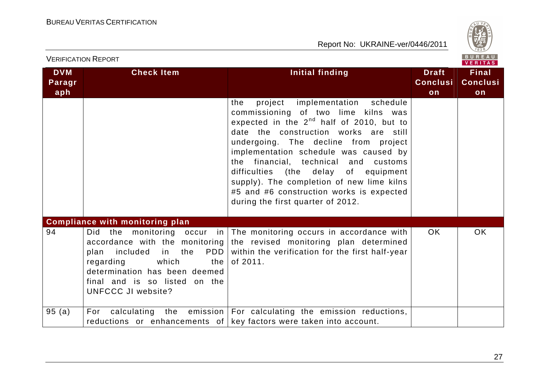

|                             | <b>VERIFICATION REPORT</b>                                                                                                                                        |                                                                                                                                                                                                                                                                                                                                                                                                                                                                                  |                                       | BUREAU<br><b>VERITAS</b>              |
|-----------------------------|-------------------------------------------------------------------------------------------------------------------------------------------------------------------|----------------------------------------------------------------------------------------------------------------------------------------------------------------------------------------------------------------------------------------------------------------------------------------------------------------------------------------------------------------------------------------------------------------------------------------------------------------------------------|---------------------------------------|---------------------------------------|
| <b>DVM</b><br>Paragr<br>aph | <b>Check Item</b>                                                                                                                                                 | <b>Initial finding</b>                                                                                                                                                                                                                                                                                                                                                                                                                                                           | <b>Draft</b><br><b>Conclusi</b><br>on | <b>Final</b><br><b>Conclusi</b><br>on |
|                             |                                                                                                                                                                   | project implementation schedule<br>the<br>commissioning of two lime kilns was<br>expected in the 2 <sup>nd</sup> half of 2010, but to<br>date the construction works are still<br>undergoing. The decline from project<br>implementation schedule was caused by<br>the financial, technical and<br>customs<br>difficulties (the delay of equipment<br>supply). The completion of new lime kilns<br>#5 and #6 construction works is expected<br>during the first quarter of 2012. |                                       |                                       |
|                             | <b>Compliance with monitoring plan</b>                                                                                                                            |                                                                                                                                                                                                                                                                                                                                                                                                                                                                                  |                                       |                                       |
| 94                          | PDD  <br>included<br>in the<br>plan<br>regarding<br>which<br>the I<br>determination has been deemed<br>final and is so listed on the<br><b>UNFCCC JI website?</b> | Did the monitoring occur in The monitoring occurs in accordance with<br>accordance with the monitoring the revised monitoring plan determined<br>within the verification for the first half-year<br>of 2011.                                                                                                                                                                                                                                                                     | OK.                                   | <b>OK</b>                             |
| 95(a)                       | For                                                                                                                                                               | calculating the emission   For calculating the emission reductions,<br>reductions or enhancements of key factors were taken into account.                                                                                                                                                                                                                                                                                                                                        |                                       |                                       |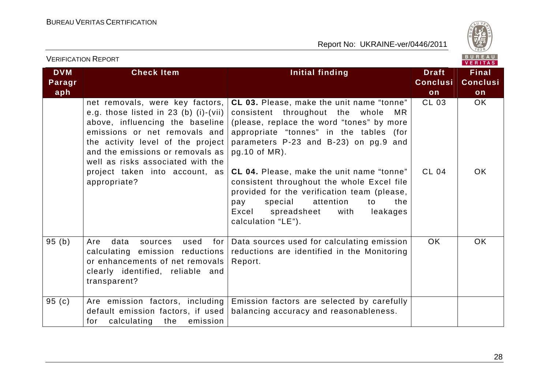

|                             | <b>VERIFICATION REPORT</b>                                                                                                                                                                                                                                                                                     |                                                                                                                                                                                                                                                                                                                                                                                           |                                       | BUREAU<br><b>VERITAS</b>              |
|-----------------------------|----------------------------------------------------------------------------------------------------------------------------------------------------------------------------------------------------------------------------------------------------------------------------------------------------------------|-------------------------------------------------------------------------------------------------------------------------------------------------------------------------------------------------------------------------------------------------------------------------------------------------------------------------------------------------------------------------------------------|---------------------------------------|---------------------------------------|
| <b>DVM</b><br>Paragr<br>aph | <b>Check Item</b>                                                                                                                                                                                                                                                                                              | Initial finding                                                                                                                                                                                                                                                                                                                                                                           | <b>Draft</b><br><b>Conclusi</b><br>on | <b>Final</b><br><b>Conclusi</b><br>on |
|                             | net removals, were key factors,<br>e.g. those listed in $23$ (b) (i)-(vii)<br>above, influencing the baseline<br>emissions or net removals and<br>the activity level of the project<br>and the emissions or removals as<br>well as risks associated with the<br>project taken into account, as<br>appropriate? | CL 03. Please, make the unit name "tonne"<br>consistent throughout the<br>whole<br>MR.<br>(please, replace the word "tones" by more<br>appropriate "tonnes" in the tables (for<br>parameters P-23 and B-23) on pg.9 and<br>pg.10 of MR).<br><b>CL 04.</b> Please, make the unit name "tonne"<br>consistent throughout the whole Excel file<br>provided for the verification team (please, | CL 03<br><b>CL 04</b>                 | OK.<br><b>OK</b>                      |
|                             |                                                                                                                                                                                                                                                                                                                | special<br>attention<br>the<br>pay<br>to<br>Excel<br>spreadsheet<br>with<br>leakages<br>calculation "LE").                                                                                                                                                                                                                                                                                |                                       |                                       |
| 95(b)                       | data<br>used<br>Are<br>for<br>sources<br>calculating emission reductions<br>or enhancements of net removals<br>clearly identified, reliable and<br>transparent?                                                                                                                                                | Data sources used for calculating emission<br>reductions are identified in the Monitoring<br>Report.                                                                                                                                                                                                                                                                                      | <b>OK</b>                             | <b>OK</b>                             |
| 95 $(c)$                    | Are emission factors, including<br>default emission factors, if used<br>for calculating<br>the<br>emission                                                                                                                                                                                                     | Emission factors are selected by carefully<br>balancing accuracy and reasonableness.                                                                                                                                                                                                                                                                                                      |                                       |                                       |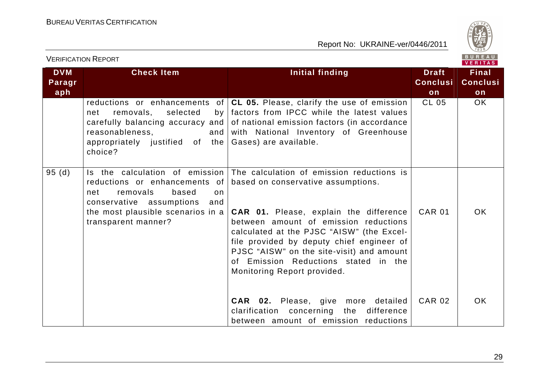

| <b>VERIFICATION REPORT</b>  |                                                                                                                                                                                                  | BUREAU<br>VERITAS                                                                                                                                                                                                                                                                                                                                                                       |                                       |                                       |
|-----------------------------|--------------------------------------------------------------------------------------------------------------------------------------------------------------------------------------------------|-----------------------------------------------------------------------------------------------------------------------------------------------------------------------------------------------------------------------------------------------------------------------------------------------------------------------------------------------------------------------------------------|---------------------------------------|---------------------------------------|
| <b>DVM</b><br>Paragr<br>aph | <b>Check Item</b>                                                                                                                                                                                | Initial finding                                                                                                                                                                                                                                                                                                                                                                         | <b>Draft</b><br><b>Conclusi</b><br>on | <b>Final</b><br><b>Conclusi</b><br>on |
|                             | reductions or enhancements of<br>removals,<br>selected<br>net<br>by <sub>l</sub><br>carefully balancing accuracy and<br>reasonableness,<br>and<br>appropriately justified of the<br>choice?      | CL 05. Please, clarify the use of emission<br>factors from IPCC while the latest values<br>of national emission factors (in accordance<br>with National Inventory of Greenhouse<br>Gases) are available.                                                                                                                                                                                | <b>CL 05</b>                          | OK.                                   |
| 95(d)                       | Is the calculation of emission<br>reductions or enhancements of<br>removals<br>based<br>net<br>on<br>conservative assumptions<br>and<br>the most plausible scenarios in a<br>transparent manner? | The calculation of emission reductions is<br>based on conservative assumptions.<br><b>CAR 01.</b> Please, explain the difference<br>between amount of emission reductions<br>calculated at the PJSC "AISW" (the Excel-<br>file provided by deputy chief engineer of<br>PJSC "AISW" on the site-visit) and amount<br>of Emission Reductions stated in the<br>Monitoring Report provided. | <b>CAR 01</b>                         | OK.                                   |
|                             |                                                                                                                                                                                                  | <b>CAR 02.</b> Please, give more detailed<br>clarification concerning the difference<br>between amount of emission reductions                                                                                                                                                                                                                                                           | <b>CAR 02</b>                         | <b>OK</b>                             |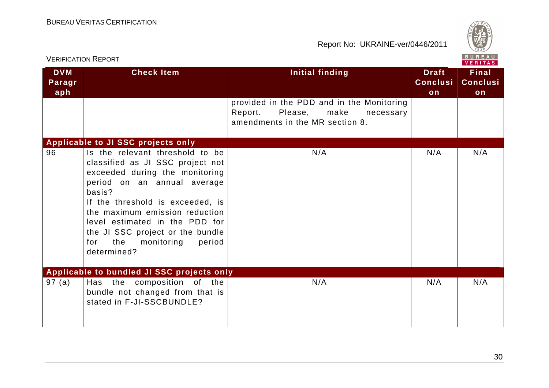

|                             | <b>VERIFICATION REPORT</b>                                                                                                                                                                                                                                                                                                                      |                                                                                                                         |                                       | B U K E A U  <br><b>VERITAS</b>       |
|-----------------------------|-------------------------------------------------------------------------------------------------------------------------------------------------------------------------------------------------------------------------------------------------------------------------------------------------------------------------------------------------|-------------------------------------------------------------------------------------------------------------------------|---------------------------------------|---------------------------------------|
| <b>DVM</b><br>Paragr<br>aph | <b>Check Item</b>                                                                                                                                                                                                                                                                                                                               | <b>Initial finding</b>                                                                                                  | <b>Draft</b><br><b>Conclusi</b><br>on | <b>Final</b><br><b>Conclusi</b><br>on |
|                             |                                                                                                                                                                                                                                                                                                                                                 | provided in the PDD and in the Monitoring<br>Report.<br>Please,<br>make<br>necessary<br>amendments in the MR section 8. |                                       |                                       |
|                             | Applicable to JI SSC projects only                                                                                                                                                                                                                                                                                                              |                                                                                                                         |                                       |                                       |
| 96                          | Is the relevant threshold to be<br>classified as JI SSC project not<br>exceeded during the monitoring<br>period on an annual average<br>basis?<br>If the threshold is exceeded, is<br>the maximum emission reduction<br>level estimated in the PDD for<br>the JI SSC project or the bundle<br>the<br>monitoring<br>period<br>for<br>determined? | N/A                                                                                                                     | N/A                                   | N/A                                   |
|                             | Applicable to bundled JI SSC projects only                                                                                                                                                                                                                                                                                                      |                                                                                                                         |                                       |                                       |
| 97(a)                       | Has the composition of the<br>bundle not changed from that is<br>stated in F-JI-SSCBUNDLE?                                                                                                                                                                                                                                                      | N/A                                                                                                                     | N/A                                   | N/A                                   |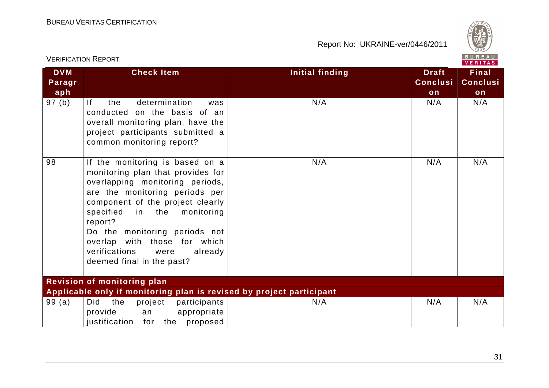

|                             | <b>VERIFICATION REPORT</b>                                                                                                                                                                                                                                                                                                                                      |                        |                                       | BUREAU<br><b>VERITAS</b>              |
|-----------------------------|-----------------------------------------------------------------------------------------------------------------------------------------------------------------------------------------------------------------------------------------------------------------------------------------------------------------------------------------------------------------|------------------------|---------------------------------------|---------------------------------------|
| <b>DVM</b><br>Paragr<br>aph | <b>Check Item</b>                                                                                                                                                                                                                                                                                                                                               | <b>Initial finding</b> | <b>Draft</b><br><b>Conclusi</b><br>on | <b>Final</b><br><b>Conclusi</b><br>on |
| 97 (b)                      | determination<br>lf<br>the<br>was<br>conducted on the basis of an<br>overall monitoring plan, have the<br>project participants submitted a<br>common monitoring report?                                                                                                                                                                                         | N/A                    | N/A                                   | N/A                                   |
| 98                          | If the monitoring is based on a<br>monitoring plan that provides for<br>overlapping monitoring periods,<br>are the monitoring periods per<br>component of the project clearly<br>specified<br>in the<br>monitoring<br>report?<br>Do the monitoring periods not<br>overlap with those for which<br>verifications<br>were<br>already<br>deemed final in the past? | N/A                    | N/A                                   | N/A                                   |
|                             | <b>Revision of monitoring plan</b>                                                                                                                                                                                                                                                                                                                              |                        |                                       |                                       |
| 99(a)                       | Applicable only if monitoring plan is revised by project participant<br>Did<br>the<br>project<br>participants<br>provide<br>appropriate<br>an<br>justification for the proposed                                                                                                                                                                                 | N/A                    | N/A                                   | N/A                                   |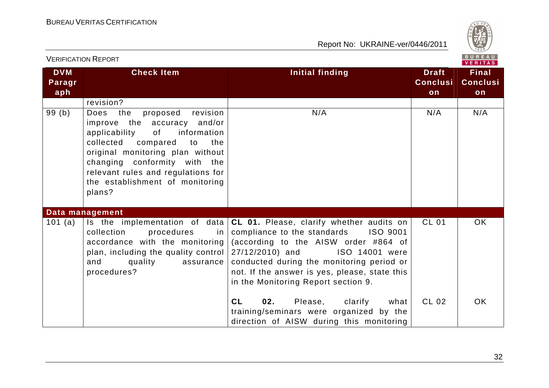

| <b>VERIFICATION REPORT</b>  |                                                                                                                                                                                                                                                                                                 |                                                                                                                                                                                                                                                                                                                                         |                                       | B U K E A U<br>VERITAS                |
|-----------------------------|-------------------------------------------------------------------------------------------------------------------------------------------------------------------------------------------------------------------------------------------------------------------------------------------------|-----------------------------------------------------------------------------------------------------------------------------------------------------------------------------------------------------------------------------------------------------------------------------------------------------------------------------------------|---------------------------------------|---------------------------------------|
| <b>DVM</b><br>Paragr<br>aph | <b>Check Item</b>                                                                                                                                                                                                                                                                               | Initial finding                                                                                                                                                                                                                                                                                                                         | <b>Draft</b><br><b>Conclusi</b><br>on | <b>Final</b><br><b>Conclusi</b><br>on |
|                             | revision?                                                                                                                                                                                                                                                                                       |                                                                                                                                                                                                                                                                                                                                         |                                       |                                       |
| 99(b)                       | Does the<br>proposed<br>revision<br>improve the accuracy and/or<br>applicability<br>information<br>of<br>collected compared<br>to<br>the<br>original monitoring plan without<br>changing conformity with the<br>relevant rules and regulations for<br>the establishment of monitoring<br>plans? | N/A                                                                                                                                                                                                                                                                                                                                     | N/A                                   | N/A                                   |
|                             | Data management                                                                                                                                                                                                                                                                                 |                                                                                                                                                                                                                                                                                                                                         |                                       |                                       |
| 101 (a)                     | collection<br>procedures<br>in l<br>accordance with the monitoring<br>plan, including the quality control<br>and<br>quality<br>assurance<br>procedures?                                                                                                                                         | Is the implementation of data $ CL 01$ . Please, clarify whether audits on<br>compliance to the standards<br>ISO 9001<br>(according to the AISW order #864 of<br>27/12/2010) and<br>ISO 14001 were<br>conducted during the monitoring period or<br>not. If the answer is yes, please, state this<br>in the Monitoring Report section 9. | <b>CL 01</b>                          | OK                                    |
|                             |                                                                                                                                                                                                                                                                                                 | 02.<br>CL<br>Please,<br>clarify<br>what<br>training/seminars were organized by the<br>direction of AISW during this monitoring                                                                                                                                                                                                          | <b>CL 02</b>                          | <b>OK</b>                             |

32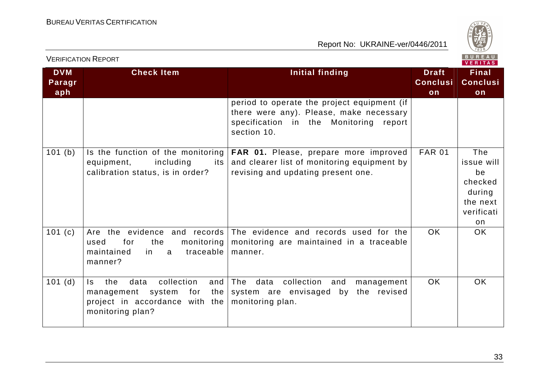

| BUREAU<br><b>VERIFICATION REPORT</b><br><b>VERITAS</b> |                                                                                                                                      |                                                                                                                                                    |                                       |                                                                              |
|--------------------------------------------------------|--------------------------------------------------------------------------------------------------------------------------------------|----------------------------------------------------------------------------------------------------------------------------------------------------|---------------------------------------|------------------------------------------------------------------------------|
| <b>DVM</b><br>Paragr<br>aph                            | <b>Check Item</b>                                                                                                                    | <b>Initial finding</b>                                                                                                                             | <b>Draft</b><br><b>Conclusi</b><br>on | <b>Final</b><br><b>Conclusi</b><br>on                                        |
|                                                        |                                                                                                                                      | period to operate the project equipment (if<br>there were any). Please, make necessary<br>specification in the Monitoring<br>report<br>section 10. |                                       |                                                                              |
| 101(b)                                                 | Is the function of the monitoring<br>including<br>equipment,<br>its<br>calibration status, is in order?                              | <b>FAR 01.</b> Please, prepare more improved<br>and clearer list of monitoring equipment by<br>revising and updating present one.                  | <b>FAR 01</b>                         | The<br>issue will<br>be<br>checked<br>during<br>the next<br>verificati<br>on |
| 101(c)                                                 | for<br>the<br>monitoring<br>used<br>maintained<br>traceable<br>in<br>a<br>manner?                                                    | Are the evidence and records The evidence and records used for the<br>monitoring are maintained in a traceable<br>manner.                          | <b>OK</b>                             | OK.                                                                          |
| $101$ (d)                                              | collection<br>and<br>the<br>data<br>$\mathsf{ls}$<br>management system for the<br>project in accordance with the<br>monitoring plan? | The<br>data<br>collection<br>and<br>management<br>system are envisaged by the revised<br>monitoring plan.                                          | OK                                    | <b>OK</b>                                                                    |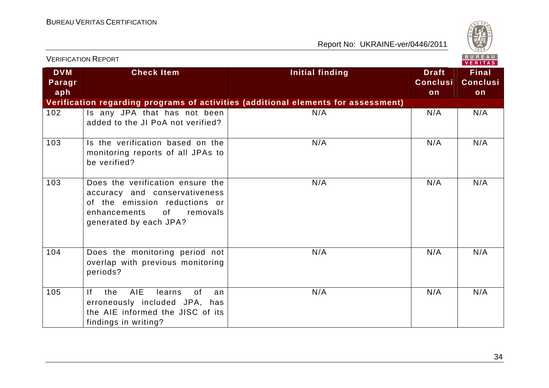

|                             | <b>VERIFICATION REPORT</b>                                                                                                                                     |                                                                                    |                                       | <b>BUREAU</b><br><b>VERITAS</b>       |
|-----------------------------|----------------------------------------------------------------------------------------------------------------------------------------------------------------|------------------------------------------------------------------------------------|---------------------------------------|---------------------------------------|
| <b>DVM</b><br>Paragr<br>aph | <b>Check Item</b>                                                                                                                                              | <b>Initial finding</b>                                                             | <b>Draft</b><br><b>Conclusi</b><br>on | <b>Final</b><br><b>Conclusi</b><br>on |
|                             |                                                                                                                                                                | Verification regarding programs of activities (additional elements for assessment) |                                       |                                       |
| 102                         | Is any JPA that has not been<br>added to the JI PoA not verified?                                                                                              | N/A                                                                                | N/A                                   | N/A                                   |
| 103                         | Is the verification based on the<br>monitoring reports of all JPAs to<br>be verified?                                                                          | N/A                                                                                | N/A                                   | N/A                                   |
| 103                         | Does the verification ensure the<br>accuracy and conservativeness<br>of the emission reductions or<br>enhancements<br>0f<br>removals<br>generated by each JPA? | N/A                                                                                | N/A                                   | N/A                                   |
| 104                         | Does the monitoring period not<br>overlap with previous monitoring<br>periods?                                                                                 | N/A                                                                                | N/A                                   | N/A                                   |
| 105                         | <b>AIE</b><br> f <br>the<br>learns<br>0f<br>an<br>erroneously included JPA, has<br>the AIE informed the JISC of its<br>findings in writing?                    | N/A                                                                                | N/A                                   | N/A                                   |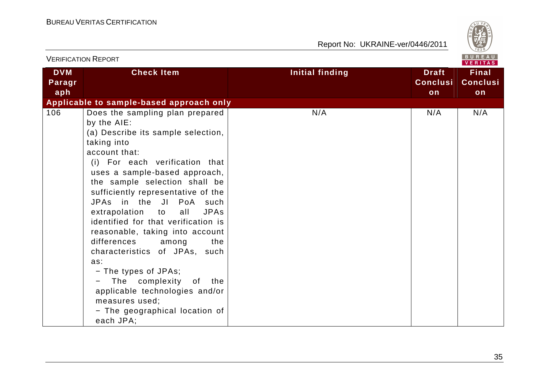

|                             | <b>VERIFICATION REPORT</b>                                                                                                                                                                                                                                                                                                                                                                                                                                                                                                                                                                                                                        |                        |                                       | B U K E A U  <br>VERITAS              |
|-----------------------------|---------------------------------------------------------------------------------------------------------------------------------------------------------------------------------------------------------------------------------------------------------------------------------------------------------------------------------------------------------------------------------------------------------------------------------------------------------------------------------------------------------------------------------------------------------------------------------------------------------------------------------------------------|------------------------|---------------------------------------|---------------------------------------|
| <b>DVM</b><br>Paragr<br>aph | <b>Check Item</b>                                                                                                                                                                                                                                                                                                                                                                                                                                                                                                                                                                                                                                 | <b>Initial finding</b> | <b>Draft</b><br><b>Conclusi</b><br>on | <b>Final</b><br><b>Conclusi</b><br>on |
|                             | Applicable to sample-based approach only                                                                                                                                                                                                                                                                                                                                                                                                                                                                                                                                                                                                          |                        |                                       |                                       |
| 106                         | Does the sampling plan prepared<br>by the AIE:<br>(a) Describe its sample selection,<br>taking into<br>account that:<br>(i) For each verification that<br>uses a sample-based approach,<br>the sample selection shall be<br>sufficiently representative of the<br>JPAs in the JI PoA such<br>extrapolation to<br><b>JPAs</b><br>all<br>identified for that verification is<br>reasonable, taking into account<br>differences<br>among<br>the<br>characteristics of JPAs, such<br>as:<br>- The types of JPAs;<br>The complexity of the<br>$ \,$<br>applicable technologies and/or<br>measures used;<br>- The geographical location of<br>each JPA; | N/A                    | N/A                                   | N/A                                   |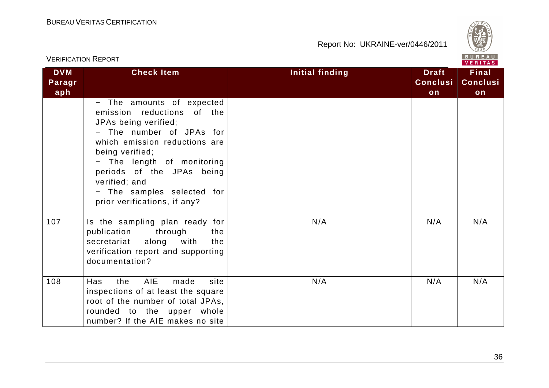

|                             | <b>VERIFICATION REPORT</b>                                                                                                                                                                                                                                                                                |                        |                                       | BUREAU<br><b>VERITAS</b>              |
|-----------------------------|-----------------------------------------------------------------------------------------------------------------------------------------------------------------------------------------------------------------------------------------------------------------------------------------------------------|------------------------|---------------------------------------|---------------------------------------|
| <b>DVM</b><br>Paragr<br>aph | <b>Check Item</b>                                                                                                                                                                                                                                                                                         | <b>Initial finding</b> | <b>Draft</b><br><b>Conclusi</b><br>on | <b>Final</b><br><b>Conclusi</b><br>on |
|                             | - The amounts of expected<br>emission reductions of the<br>JPAs being verified;<br>- The number of JPAs for<br>which emission reductions are<br>being verified;<br>- The length of monitoring<br>periods of the JPAs being<br>verified; and<br>- The samples selected for<br>prior verifications, if any? |                        |                                       |                                       |
| 107                         | Is the sampling plan ready for<br>through<br>publication<br>the<br>along with<br>secretariat<br>the<br>verification report and supporting<br>documentation?                                                                                                                                               | N/A                    | N/A                                   | N/A                                   |
| 108                         | <b>AIE</b><br><b>Has</b><br>the<br>made<br>site<br>inspections of at least the square<br>root of the number of total JPAs,<br>rounded to the upper whole<br>number? If the AIE makes no site                                                                                                              | N/A                    | N/A                                   | N/A                                   |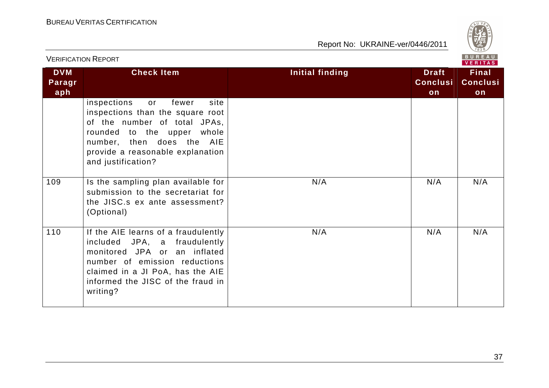

| <b>VERIFICATION REPORT</b>  |                                                                                                                                                                                                                             |                 | BUREAU<br><b>VERITAS</b>              |                                       |
|-----------------------------|-----------------------------------------------------------------------------------------------------------------------------------------------------------------------------------------------------------------------------|-----------------|---------------------------------------|---------------------------------------|
| <b>DVM</b><br>Paragr<br>aph | <b>Check Item</b>                                                                                                                                                                                                           | Initial finding | <b>Draft</b><br><b>Conclusi</b><br>on | <b>Final</b><br><b>Conclusi</b><br>on |
|                             | inspections<br>fewer<br>site<br>or<br>inspections than the square root<br>of the number of total JPAs,<br>rounded to the upper whole<br>number, then does the AIE<br>provide a reasonable explanation<br>and justification? |                 |                                       |                                       |
| 109                         | Is the sampling plan available for<br>submission to the secretariat for<br>the JISC.s ex ante assessment?<br>(Optional)                                                                                                     | N/A             | N/A                                   | N/A                                   |
| 110                         | If the AIE learns of a fraudulently<br>included JPA, a fraudulently<br>monitored JPA or an inflated<br>number of emission reductions<br>claimed in a JI PoA, has the AIE<br>informed the JISC of the fraud in<br>writing?   | N/A             | N/A                                   | N/A                                   |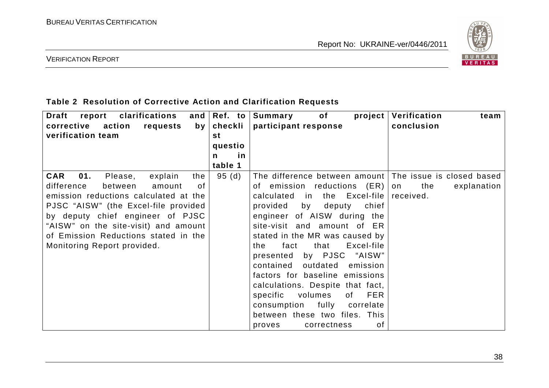

#### VERIFICATION REPORT

#### **Table 2 Resolution of Corrective Action and Clarification Requests**

| Draft<br>clarifications<br>report<br>corrective<br>action<br>requests<br>by <sub>1</sub><br>verification team | and $\left  \text{Ref. to } \right $<br>checkli<br>st | of<br>$\boldsymbol{project}$<br>Summary<br>participant response | Verification<br>team<br>conclusion |
|---------------------------------------------------------------------------------------------------------------|-------------------------------------------------------|-----------------------------------------------------------------|------------------------------------|
|                                                                                                               | questio                                               |                                                                 |                                    |
|                                                                                                               | <u>in</u><br>$\mathsf{n}$                             |                                                                 |                                    |
|                                                                                                               | table 1                                               |                                                                 |                                    |
| <b>CAR</b><br>01.<br>Please,<br>explain<br>the                                                                | 95 (d)                                                | The difference between amount   The issue is closed based       |                                    |
| difference<br>between<br>amount<br>οf                                                                         |                                                       | of emission reductions (ER)                                     | the<br>on<br>explanation           |
| emission reductions calculated at the                                                                         |                                                       | in the Excel-file<br>calculated                                 | received.                          |
| PJSC "AISW" (the Excel-file provided                                                                          |                                                       | provided<br>by<br>deputy<br>chief                               |                                    |
| by deputy chief engineer of PJSC                                                                              |                                                       | engineer of AISW during the                                     |                                    |
| "AISW" on the site-visit) and amount                                                                          |                                                       | site-visit and amount of ER                                     |                                    |
| of Emission Reductions stated in the                                                                          |                                                       | stated in the MR was caused by                                  |                                    |
| Monitoring Report provided.                                                                                   |                                                       | Excel-file<br>fact<br>that<br>the.                              |                                    |
|                                                                                                               |                                                       | by PJSC "AISW"<br>presented                                     |                                    |
|                                                                                                               |                                                       | contained<br>outdated<br>emission                               |                                    |
|                                                                                                               |                                                       | factors for baseline emissions                                  |                                    |
|                                                                                                               |                                                       | calculations. Despite that fact,                                |                                    |
|                                                                                                               |                                                       | volumes<br><b>FER</b><br>specific<br>of                         |                                    |
|                                                                                                               |                                                       | fully<br>consumption<br>correlate                               |                                    |
|                                                                                                               |                                                       | between these two files. This                                   |                                    |
|                                                                                                               |                                                       | 0f<br>correctness<br>proves                                     |                                    |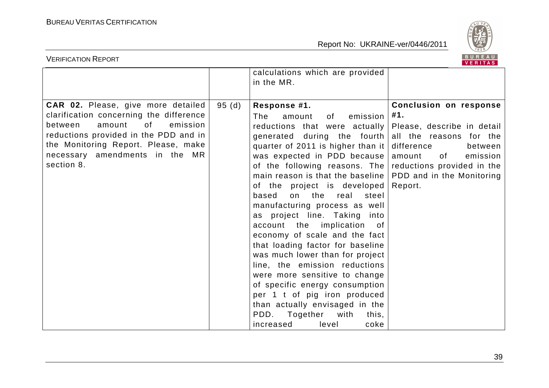

| BUREAU<br><b>VERIFICATION REPORT</b><br><b>VERITAS</b>                                                                                                                                                                                               |       |                                                                                                                                                                                                                                                                                                                                                                                                                                                                                                                                                                                                                                                                                                                                                                                                                                                                        |                                                                                                                             |  |
|------------------------------------------------------------------------------------------------------------------------------------------------------------------------------------------------------------------------------------------------------|-------|------------------------------------------------------------------------------------------------------------------------------------------------------------------------------------------------------------------------------------------------------------------------------------------------------------------------------------------------------------------------------------------------------------------------------------------------------------------------------------------------------------------------------------------------------------------------------------------------------------------------------------------------------------------------------------------------------------------------------------------------------------------------------------------------------------------------------------------------------------------------|-----------------------------------------------------------------------------------------------------------------------------|--|
|                                                                                                                                                                                                                                                      |       | calculations which are provided<br>in the MR.                                                                                                                                                                                                                                                                                                                                                                                                                                                                                                                                                                                                                                                                                                                                                                                                                          |                                                                                                                             |  |
| CAR 02. Please, give more detailed<br>clarification concerning the difference<br>amount<br>0f<br>emission<br>between<br>reductions provided in the PDD and in<br>the Monitoring Report. Please, make<br>necessary amendments in the MR<br>section 8. | 95(d) | Response #1.<br>emission<br>The<br>amount<br>0f.<br>reductions that were actually<br>generated during the fourth all the reasons for the<br>quarter of 2011 is higher than it  <br>was expected in PDD because<br>of the following reasons. The reductions provided in the<br>main reason is that the baseline $\vert$ PDD and in the Monitoring<br>of the project is developed<br>on the<br>based<br>real<br>steel<br>manufacturing process as well<br>as project line. Taking into<br>account the implication<br>of<br>economy of scale and the fact<br>that loading factor for baseline<br>was much lower than for project<br>line, the emission reductions<br>were more sensitive to change<br>of specific energy consumption<br>per 1 t of pig iron produced<br>than actually envisaged in the<br>PDD.<br>Together<br>with<br>this,<br>increased<br>level<br>coke | Conclusion on response<br>#1.<br>Please, describe in detail<br>difference<br>between<br>amount<br>of<br>emission<br>Report. |  |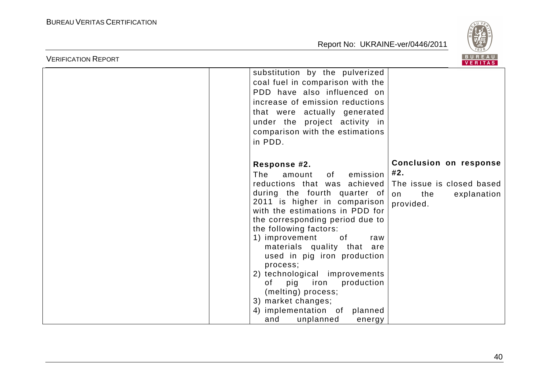

| <b>VERIFICATION REPORT</b> |                                                                                                                                                                                                                                                                                                                                                                                                                                                                        | BUREAU<br><b>VERITAS</b>                                                                                   |
|----------------------------|------------------------------------------------------------------------------------------------------------------------------------------------------------------------------------------------------------------------------------------------------------------------------------------------------------------------------------------------------------------------------------------------------------------------------------------------------------------------|------------------------------------------------------------------------------------------------------------|
|                            | substitution by the pulverized<br>coal fuel in comparison with the<br>PDD have also influenced on<br>increase of emission reductions<br>that were actually generated<br>under the project activity in<br>comparison with the estimations<br>in PDD.                                                                                                                                                                                                                    |                                                                                                            |
|                            | Response #2.<br>emission<br>The<br>amount<br>of l<br>reductions that was achieved<br>during the fourth quarter of<br>2011 is higher in comparison<br>with the estimations in PDD for<br>the corresponding period due to<br>the following factors:<br>1) improvement<br>of<br>raw<br>materials quality that are<br>used in pig iron production<br>process;<br>2) technological improvements<br>production<br>pig iron<br>of<br>(melting) process;<br>3) market changes; | <b>Conclusion on response</b><br>#2.<br>The issue is closed based<br>the<br>explanation<br>on<br>provided. |
|                            | 4) implementation of<br>planned<br>unplanned<br>and<br>energy                                                                                                                                                                                                                                                                                                                                                                                                          |                                                                                                            |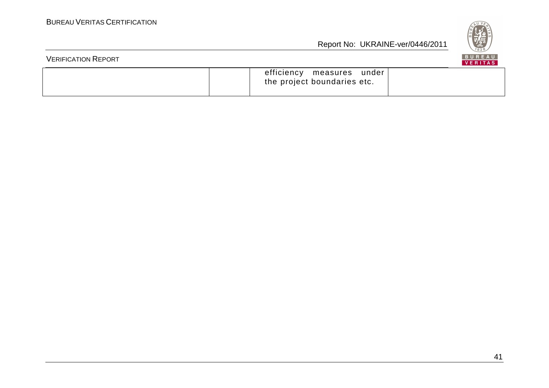

| <b>VERIFICATION REPORT</b> |                                                           | BUREAU<br><b>VERITAS</b> |
|----------------------------|-----------------------------------------------------------|--------------------------|
|                            | efficiency measures under'<br>the project boundaries etc. |                          |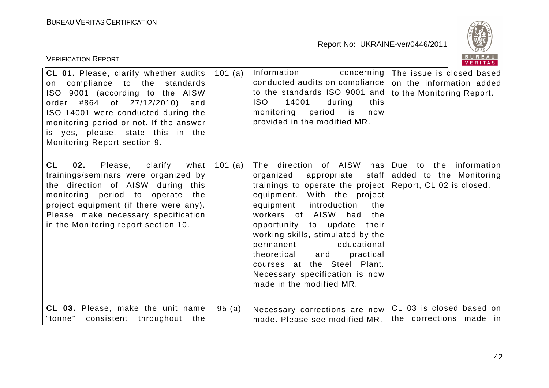

| <b>VERIFICATION REPORT</b>                                                                                                                                                                                                                                                                               |        |                                                                                                                                                                                                                                                                                                                                                                                                                                            | BUREAU<br><b>VERITAS</b>                                                            |
|----------------------------------------------------------------------------------------------------------------------------------------------------------------------------------------------------------------------------------------------------------------------------------------------------------|--------|--------------------------------------------------------------------------------------------------------------------------------------------------------------------------------------------------------------------------------------------------------------------------------------------------------------------------------------------------------------------------------------------------------------------------------------------|-------------------------------------------------------------------------------------|
| CL 01. Please, clarify whether audits<br>compliance to the standards<br>on<br>ISO 9001 (according to the AISW<br>order #864 of 27/12/2010)<br>and<br>ISO 14001 were conducted during the<br>monitoring period or not. If the answer<br>is yes, please, state this in the<br>Monitoring Report section 9. | 101(a) | Information<br>concerning  <br>conducted audits on compliance<br>to the standards ISO 9001 and<br>ISO.<br>14001<br>during<br>this<br>monitoring<br>period<br>is<br>now<br>provided in the modified MR.                                                                                                                                                                                                                                     | The issue is closed based<br>on the information added<br>to the Monitoring Report.  |
| CL<br>02.<br>Please,<br>clarify<br>what<br>trainings/seminars were organized by<br>the direction of AISW during this<br>monitoring period to operate<br>the<br>project equipment (if there were any).<br>Please, make necessary specification<br>in the Monitoring report section 10.                    | 101(a) | The direction of AISW<br>$has \,  $<br>organized<br>appropriate<br>trainings to operate the project<br>equipment. With the project<br>equipment<br>introduction<br>the<br>workers of AISW<br>had<br>the<br>opportunity to update<br>their<br>working skills, stimulated by the<br>educational<br>permanent<br>theoretical<br>practical<br>and<br>courses at the Steel Plant.<br>Necessary specification is now<br>made in the modified MR. | Due to the information<br>staff added to the Monitoring<br>Report, CL 02 is closed. |
| CL 03. Please, make the unit name<br>"tonne"<br>consistent throughout<br>the                                                                                                                                                                                                                             | 95(a)  | Necessary corrections are now<br>made. Please see modified MR.                                                                                                                                                                                                                                                                                                                                                                             | CL 03 is closed based on<br>the corrections made in                                 |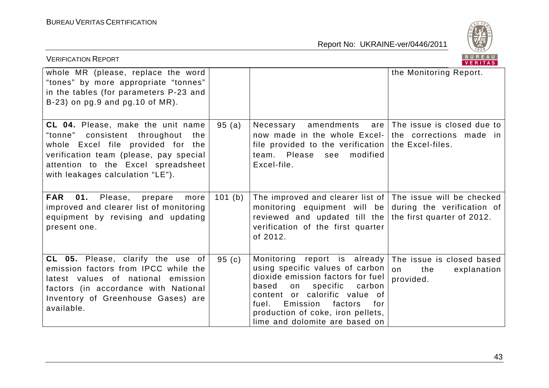

| <b>VERIFICATION REPORT</b>                                                                                                                                                                                                         |                   |                                                                                                                                                                                                                                                                                          | BUREAU<br>VERITAS                                                  |
|------------------------------------------------------------------------------------------------------------------------------------------------------------------------------------------------------------------------------------|-------------------|------------------------------------------------------------------------------------------------------------------------------------------------------------------------------------------------------------------------------------------------------------------------------------------|--------------------------------------------------------------------|
| whole MR (please, replace the word<br>"tones" by more appropriate "tonnes"<br>in the tables (for parameters P-23 and<br>$B-23$ ) on pg.9 and pg.10 of MR).                                                                         |                   |                                                                                                                                                                                                                                                                                          | the Monitoring Report.                                             |
| CL 04. Please, make the unit name<br>"tonne" consistent throughout<br>the<br>whole Excel file provided for the<br>verification team (please, pay special<br>attention to the Excel spreadsheet<br>with leakages calculation "LE"). | 95(a)             | Necessary<br>now made in the whole Excel- the corrections made in<br>file provided to the verification   the Excel-files.<br>team. Please see<br>modified<br>Excel-file.                                                                                                                 | amendments $are The issue is closed due to$                        |
| FAR 01. Please, prepare more<br>improved and clearer list of monitoring<br>equipment by revising and updating<br>present one.                                                                                                      | 101(b)            | The improved and clearer list of $\vert$ The issue will be checked<br>monitoring equipment will be during the verification of<br>reviewed and updated till the the first quarter of 2012.<br>verification of the first quarter<br>of 2012.                                               |                                                                    |
| CL 05. Please, clarify the use of<br>emission factors from IPCC while the<br>latest values of national emission<br>factors (in accordance with National<br>Inventory of Greenhouse Gases) are<br>available.                        | 95 <sub>(c)</sub> | Monitoring report is already<br>using specific values of carbon<br>dioxide emission factors for fuel<br>based<br>specific<br>carbon<br>on<br>content or calorific value of<br>Emission<br>factors<br>fuel.<br>for<br>production of coke, iron pellets,<br>lime and dolomite are based on | The issue is closed based<br>on<br>the<br>explanation<br>provided. |